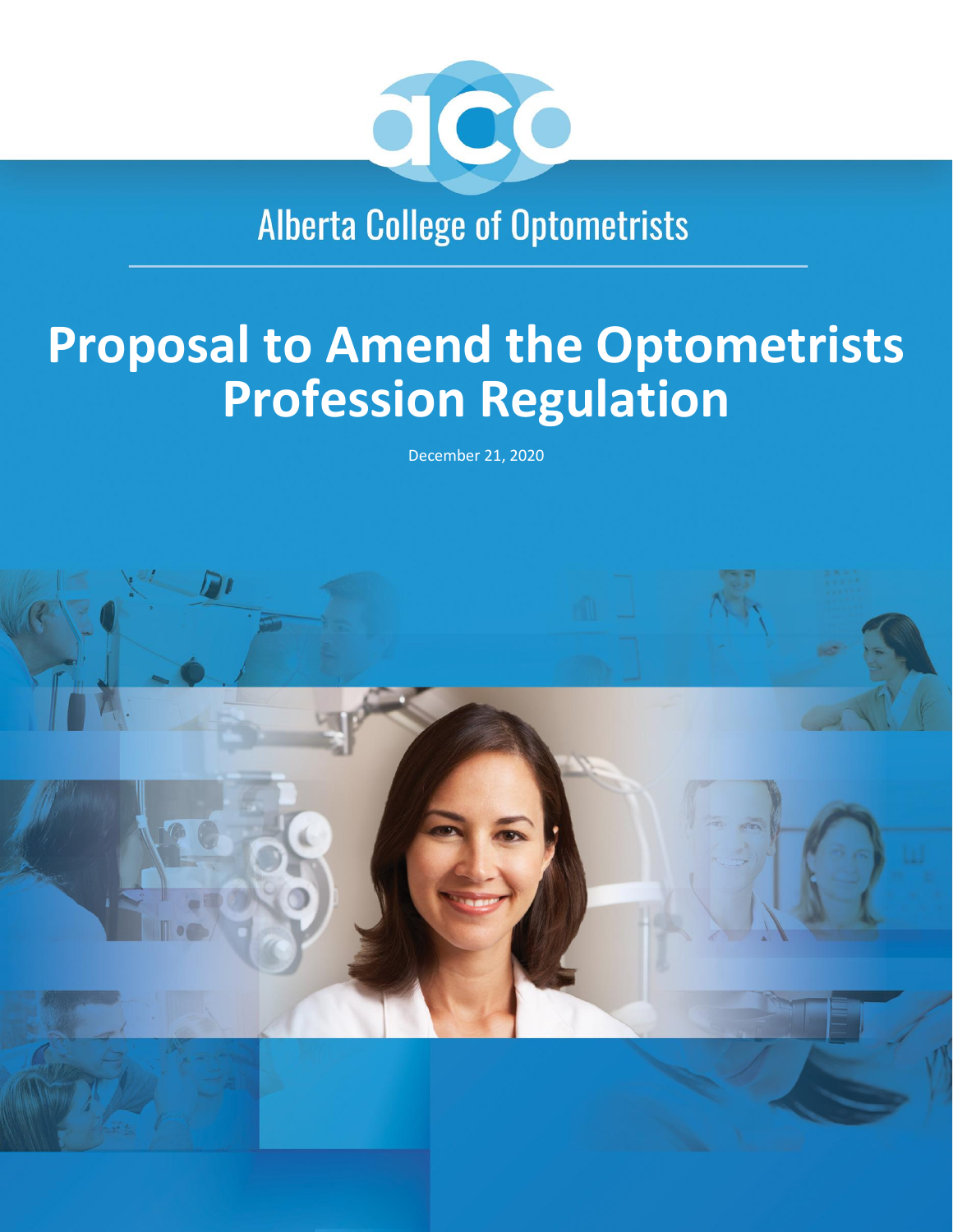

**Alberta College of Optometrists** 

# **Proposal to Amend the Optometrists Profession Regulation**

December 21, 2020

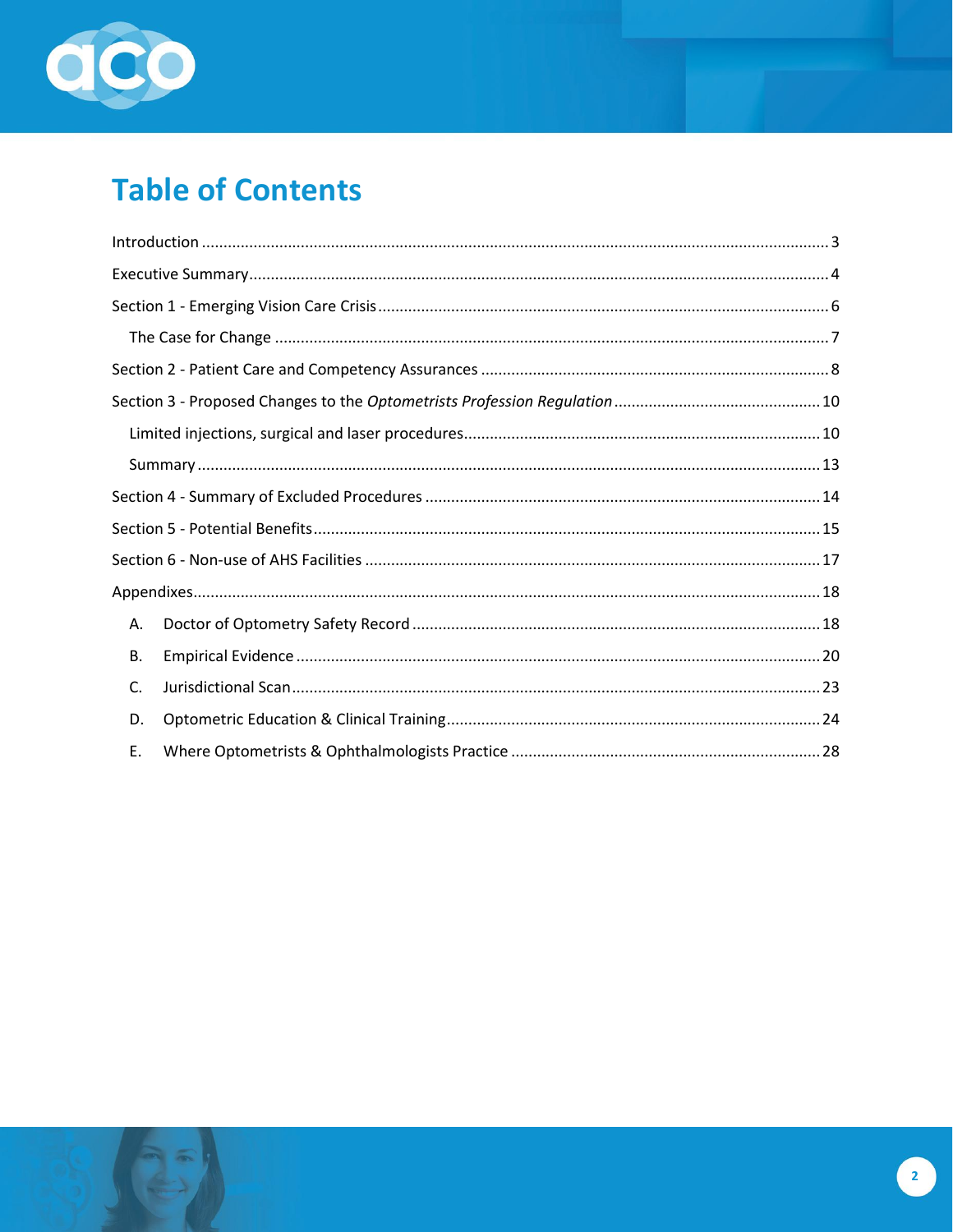

# **Table of Contents**

| Α. |  |
|----|--|
| В. |  |
| C. |  |
| D. |  |
| Ε. |  |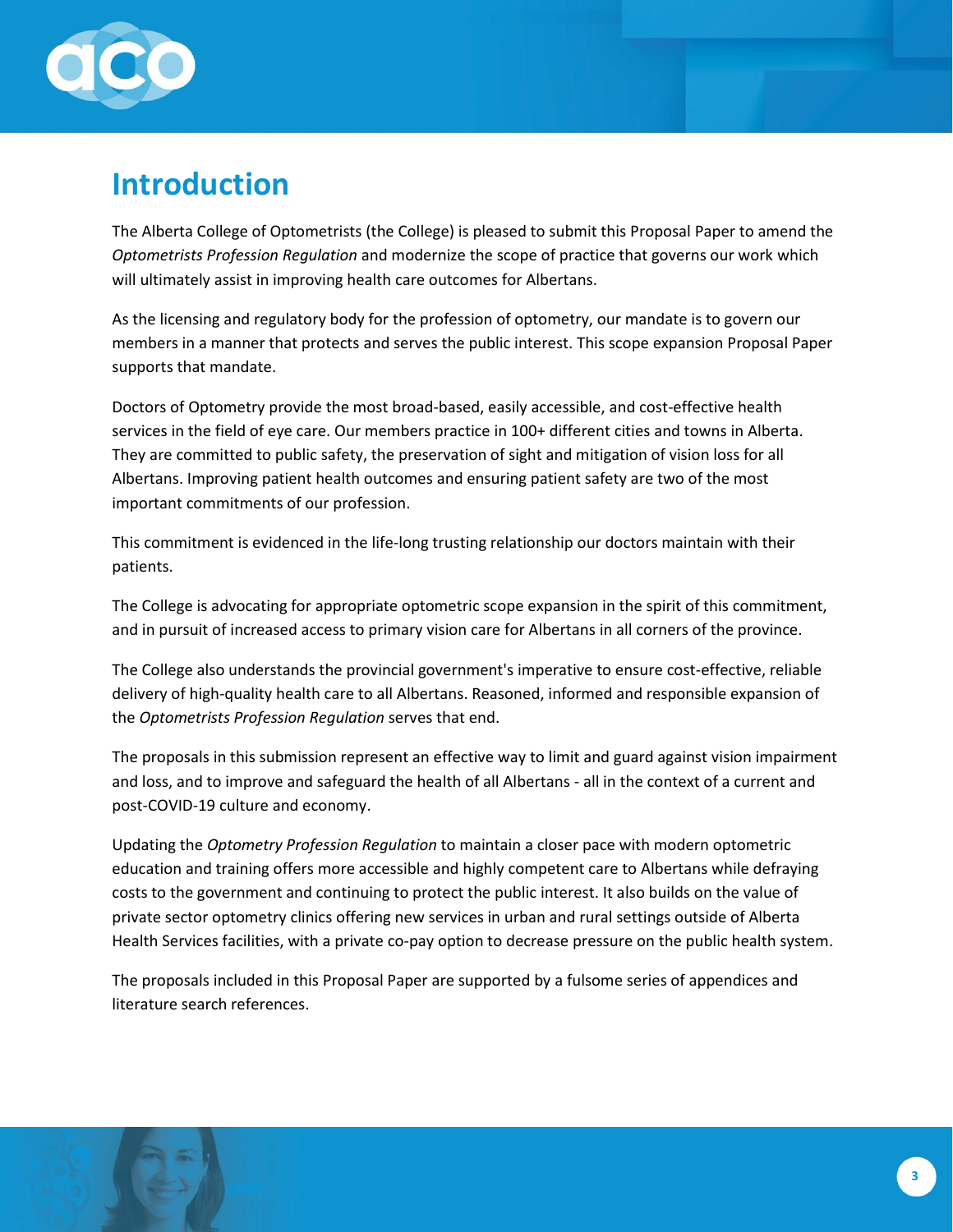

# <span id="page-2-0"></span>**Introduction**

The Alberta College of Optometrists (the College) is pleased to submit this Proposal Paper to amend the *Optometrists Profession Regulation* and modernize the scope of practice that governs our work which will ultimately assist in improving health care outcomes for Albertans.

As the licensing and regulatory body for the profession of optometry, our mandate is to govern our members in a manner that protects and serves the public interest. This scope expansion Proposal Paper supports that mandate.

Doctors of Optometry provide the most broad-based, easily accessible, and cost-effective health services in the field of eye care. Our members practice in 100+ different cities and towns in Alberta. They are committed to public safety, the preservation of sight and mitigation of vision loss for all Albertans. Improving patient health outcomes and ensuring patient safety are two of the most important commitments of our profession.

This commitment is evidenced in the life-long trusting relationship our doctors maintain with their patients.

The College is advocating for appropriate optometric scope expansion in the spirit of this commitment, and in pursuit of increased access to primary vision care for Albertans in all corners of the province.

The College also understands the provincial government's imperative to ensure cost-effective, reliable delivery of high-quality health care to all Albertans. Reasoned, informed and responsible expansion of the *Optometrists Profession Regulation* serves that end.

The proposals in this submission represent an effective way to limit and guard against vision impairment and loss, and to improve and safeguard the health of all Albertans - all in the context of a current and post-COVID-19 culture and economy.

Updating the *Optometry Profession Regulation* to maintain a closer pace with modern optometric education and training offers more accessible and highly competent care to Albertans while defraying costs to the government and continuing to protect the public interest. It also builds on the value of private sector optometry clinics offering new services in urban and rural settings outside of Alberta Health Services facilities, with a private co-pay option to decrease pressure on the public health system.

The proposals included in this Proposal Paper are supported by a fulsome series of appendices and literature search references.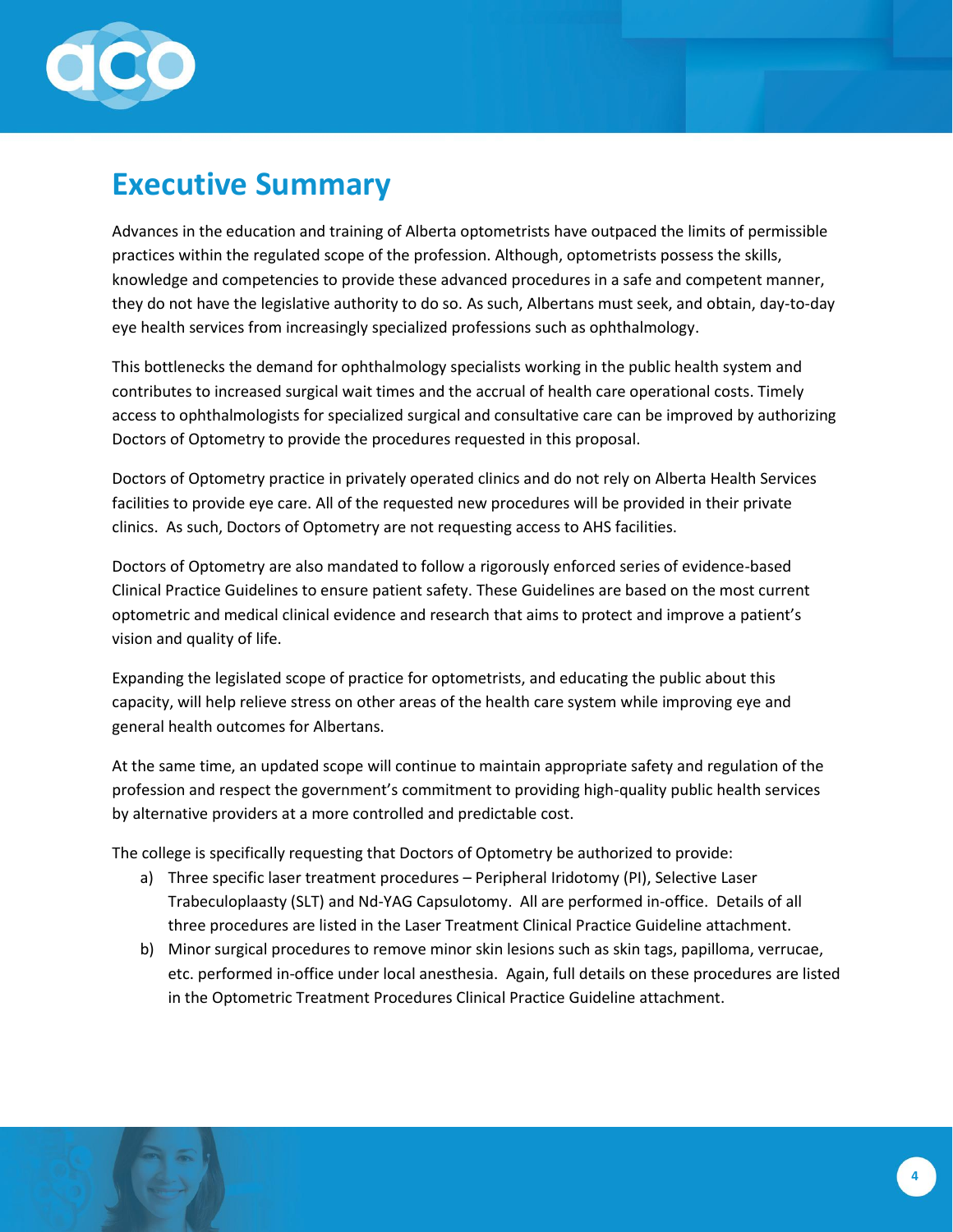

### <span id="page-3-0"></span>**Executive Summary**

Advances in the education and training of Alberta optometrists have outpaced the limits of permissible practices within the regulated scope of the profession. Although, optometrists possess the skills, knowledge and competencies to provide these advanced procedures in a safe and competent manner, they do not have the legislative authority to do so. As such, Albertans must seek, and obtain, day-to-day eye health services from increasingly specialized professions such as ophthalmology.

This bottlenecks the demand for ophthalmology specialists working in the public health system and contributes to increased surgical wait times and the accrual of health care operational costs. Timely access to ophthalmologists for specialized surgical and consultative care can be improved by authorizing Doctors of Optometry to provide the procedures requested in this proposal.

Doctors of Optometry practice in privately operated clinics and do not rely on Alberta Health Services facilities to provide eye care. All of the requested new procedures will be provided in their private clinics. As such, Doctors of Optometry are not requesting access to AHS facilities.

Doctors of Optometry are also mandated to follow a rigorously enforced series of evidence-based Clinical Practice Guidelines to ensure patient safety. These Guidelines are based on the most current optometric and medical clinical evidence and research that aims to protect and improve a patient's vision and quality of life.

Expanding the legislated scope of practice for optometrists, and educating the public about this capacity, will help relieve stress on other areas of the health care system while improving eye and general health outcomes for Albertans.

At the same time, an updated scope will continue to maintain appropriate safety and regulation of the profession and respect the government's commitment to providing high-quality public health services by alternative providers at a more controlled and predictable cost.

The college is specifically requesting that Doctors of Optometry be authorized to provide:

- a) Three specific laser treatment procedures Peripheral Iridotomy (PI), Selective Laser Trabeculoplaasty (SLT) and Nd-YAG Capsulotomy. All are performed in-office. Details of all three procedures are listed in the Laser Treatment Clinical Practice Guideline attachment.
- b) Minor surgical procedures to remove minor skin lesions such as skin tags, papilloma, verrucae, etc. performed in-office under local anesthesia. Again, full details on these procedures are listed in the Optometric Treatment Procedures Clinical Practice Guideline attachment.

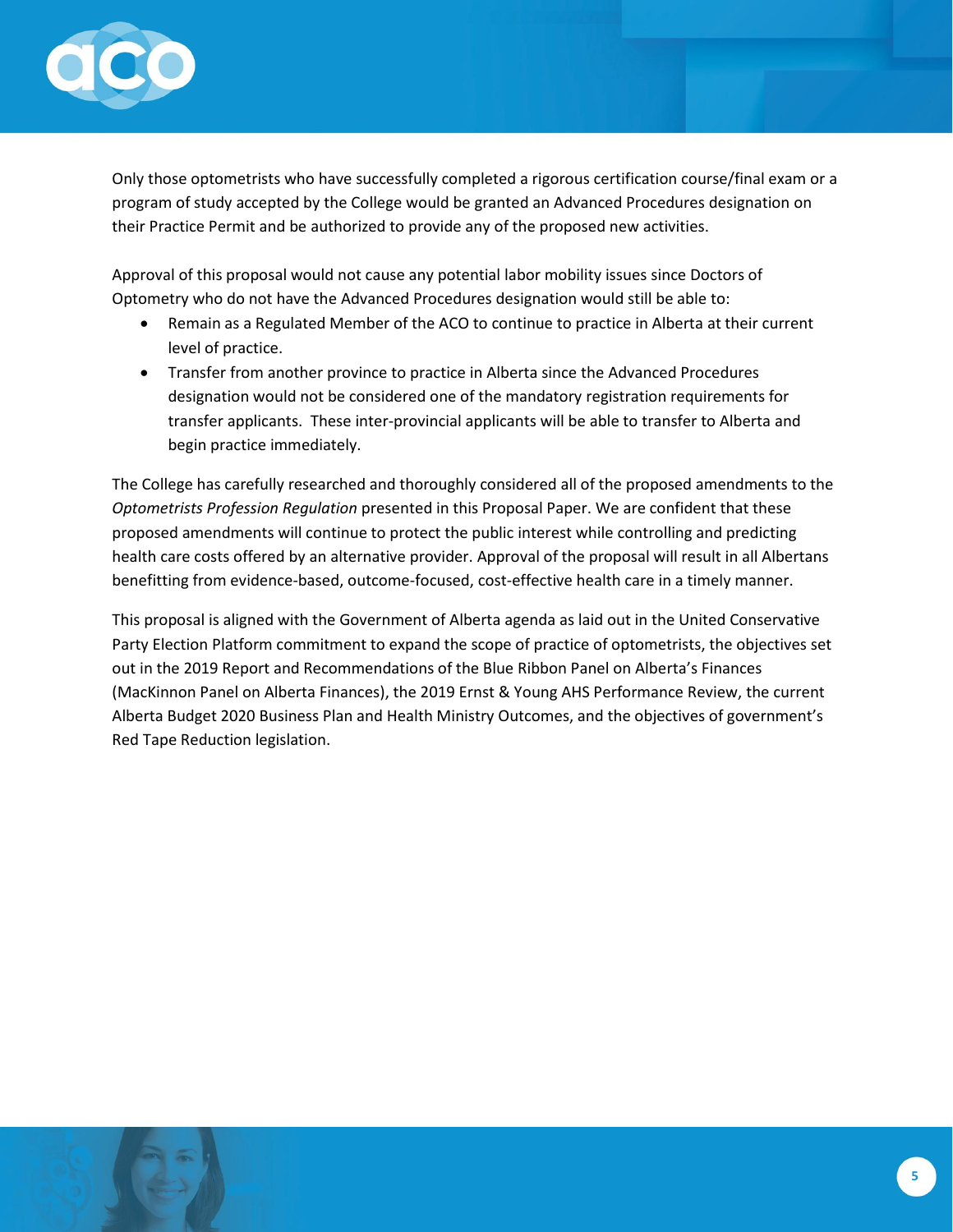

Only those optometrists who have successfully completed a rigorous certification course/final exam or a program of study accepted by the College would be granted an Advanced Procedures designation on their Practice Permit and be authorized to provide any of the proposed new activities.

Approval of this proposal would not cause any potential labor mobility issues since Doctors of Optometry who do not have the Advanced Procedures designation would still be able to:

- Remain as a Regulated Member of the ACO to continue to practice in Alberta at their current level of practice.
- Transfer from another province to practice in Alberta since the Advanced Procedures designation would not be considered one of the mandatory registration requirements for transfer applicants. These inter-provincial applicants will be able to transfer to Alberta and begin practice immediately.

The College has carefully researched and thoroughly considered all of the proposed amendments to the *Optometrists Profession Regulation* presented in this Proposal Paper. We are confident that these proposed amendments will continue to protect the public interest while controlling and predicting health care costs offered by an alternative provider. Approval of the proposal will result in all Albertans benefitting from evidence-based, outcome-focused, cost-effective health care in a timely manner.

This proposal is aligned with the Government of Alberta agenda as laid out in the United Conservative Party Election Platform commitment to expand the scope of practice of optometrists, the objectives set out in the 2019 Report and Recommendations of the Blue Ribbon Panel on Alberta's Finances (MacKinnon Panel on Alberta Finances), the 2019 Ernst & Young AHS Performance Review, the current Alberta Budget 2020 Business Plan and Health Ministry Outcomes, and the objectives of government's Red Tape Reduction legislation.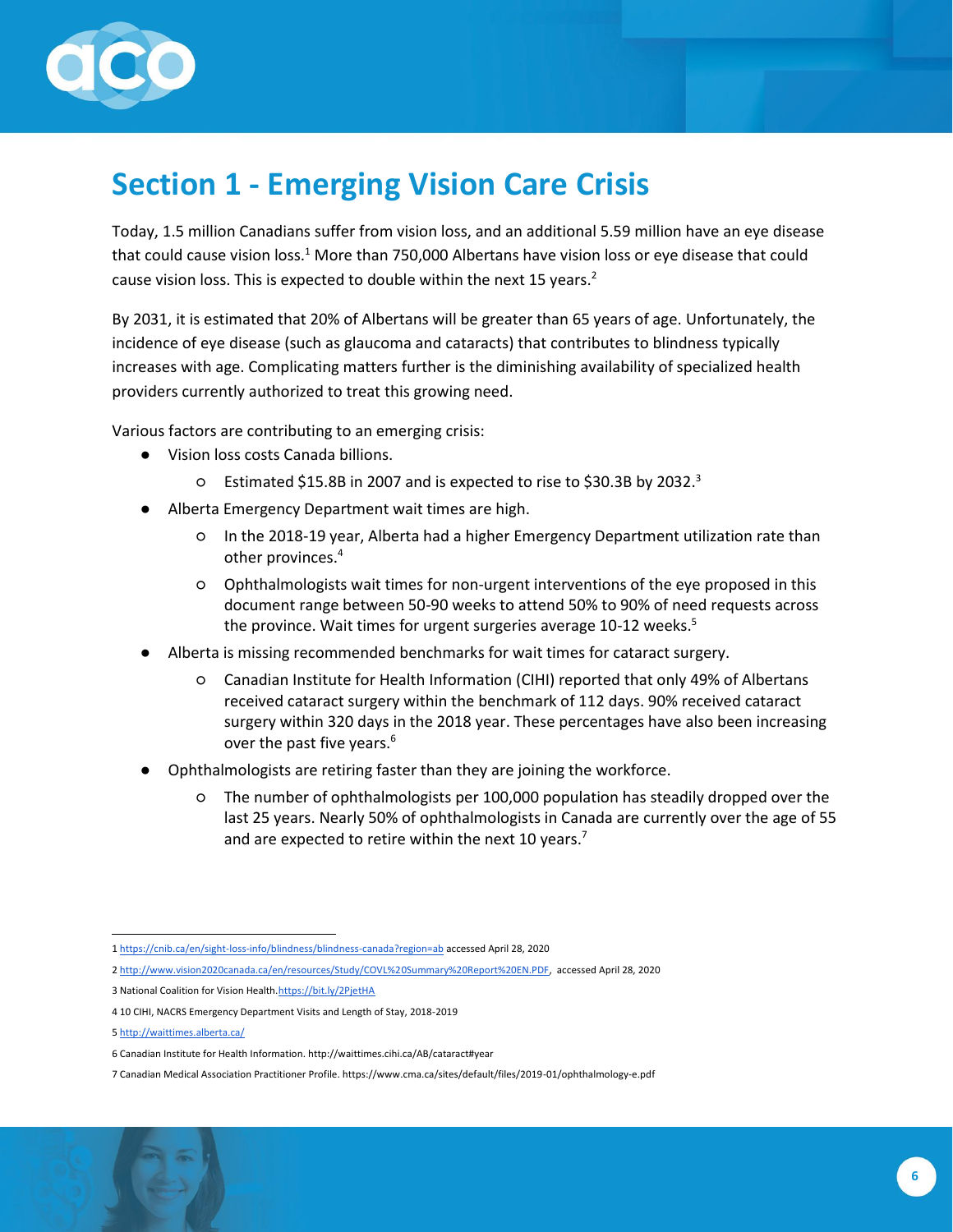

# <span id="page-5-0"></span>**Section 1 - Emerging Vision Care Crisis**

Today, 1.5 million Canadians suffer from vision loss, and an additional 5.59 million have an eye disease that could cause vision loss.<sup>1</sup> More than 750,000 Albertans have vision loss or eye disease that could cause vision loss. This is expected to double within the next 15 years.<sup>2</sup>

By 2031, it is estimated that 20% of Albertans will be greater than 65 years of age. Unfortunately, the incidence of eye disease (such as glaucoma and cataracts) that contributes to blindness typically increases with age. Complicating matters further is the diminishing availability of specialized health providers currently authorized to treat this growing need.

Various factors are contributing to an emerging crisis:

- Vision loss costs Canada billions.
	- Estimated \$15.8B in 2007 and is expected to rise to \$30.3B by 2032.<sup>3</sup>
- Alberta Emergency Department wait times are high.
	- In the 2018-19 year, Alberta had a higher Emergency Department utilization rate than other provinces.<sup>4</sup>
	- Ophthalmologists wait times for non-urgent interventions of the eye proposed in this document range between 50-90 weeks to attend 50% to 90% of need requests across the province. Wait times for urgent surgeries average 10-12 weeks. $5$
- Alberta is missing recommended benchmarks for wait times for cataract surgery.
	- Canadian Institute for Health Information (CIHI) reported that only 49% of Albertans received cataract surgery within the benchmark of 112 days. 90% received cataract surgery within 320 days in the 2018 year. These percentages have also been increasing over the past five years.<sup>6</sup>
- Ophthalmologists are retiring faster than they are joining the workforce.
	- The number of ophthalmologists per 100,000 population has steadily dropped over the last 25 years. Nearly 50% of ophthalmologists in Canada are currently over the age of 55 and are expected to retire within the next 10 years.<sup>7</sup>

3 National Coalition for Vision Health[.https://bit.ly/2PjetHA](https://bit.ly/2PjetHA)

5 <http://waittimes.alberta.ca/>

<sup>1</sup> <https://cnib.ca/en/sight-loss-info/blindness/blindness-canada?region=ab> accessed April 28, 2020

<sup>2</sup> [http://www.vision2020canada.ca/en/resources/Study/COVL%20Summary%20Report%20EN.PDF,](http://www.vision2020canada.ca/en/resources/Study/COVL%20Summary%20Report%20EN.PDF) accessed April 28, 2020

<sup>4</sup> 10 CIHI, NACRS Emergency Department Visits and Length of Stay, 2018-2019

<sup>6</sup> Canadian Institute for Health Information. http://waittimes.cihi.ca/AB/cataract#year

<sup>7</sup> Canadian Medical Association Practitioner Profile. https://www.cma.ca/sites/default/files/2019-01/ophthalmology-e.pdf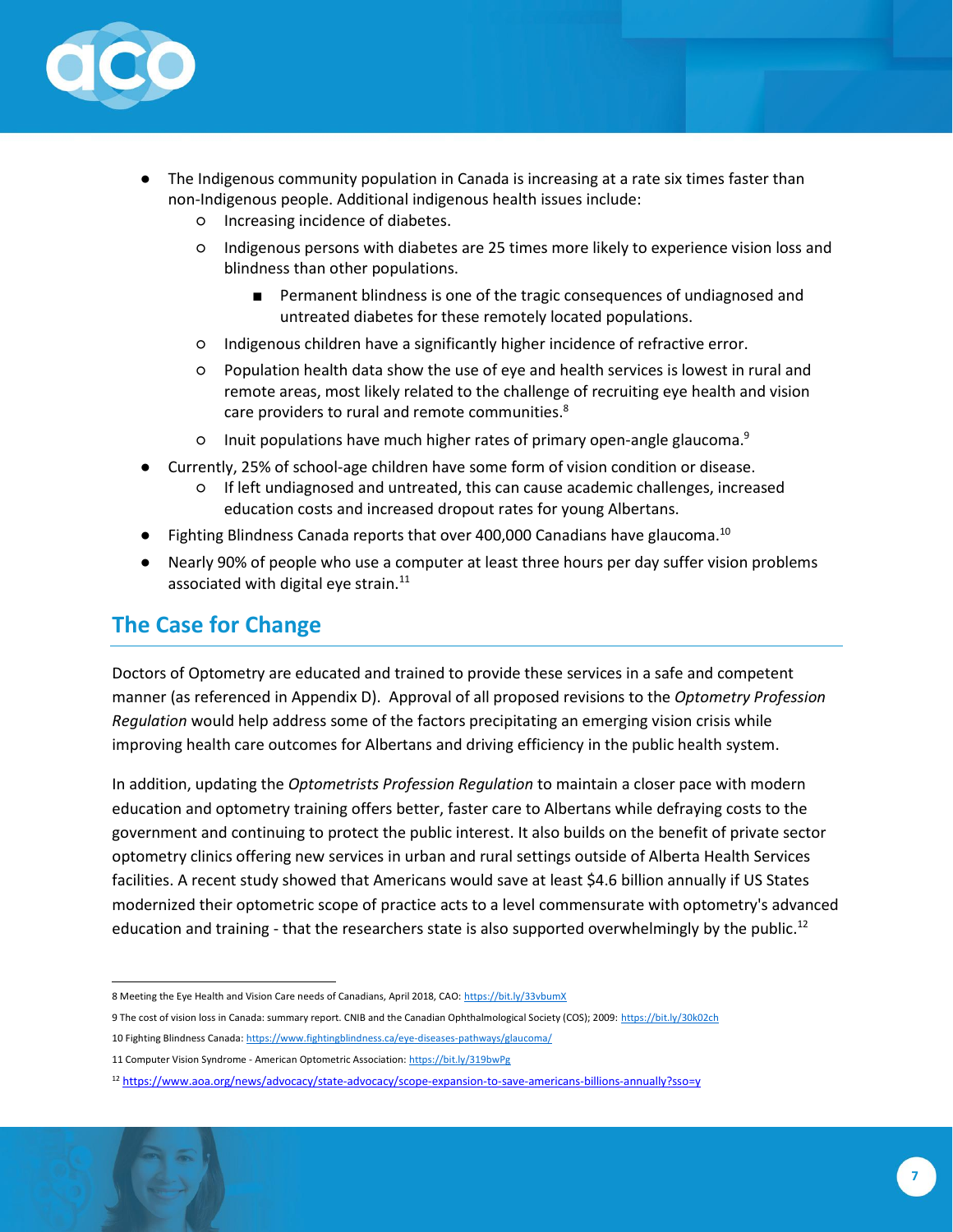

- The Indigenous community population in Canada is increasing at a rate six times faster than non-Indigenous people. Additional indigenous health issues include:
	- Increasing incidence of diabetes.
	- Indigenous persons with diabetes are 25 times more likely to experience vision loss and blindness than other populations.
		- Permanent blindness is one of the tragic consequences of undiagnosed and untreated diabetes for these remotely located populations.
	- Indigenous children have a significantly higher incidence of refractive error.
	- Population health data show the use of eye and health services is lowest in rural and remote areas, most likely related to the challenge of recruiting eye health and vision care providers to rural and remote communities.<sup>8</sup>
	- Inuit populations have much higher rates of primary open-angle glaucoma.<sup>9</sup>
- Currently, 25% of school-age children have some form of vision condition or disease.
	- If left undiagnosed and untreated, this can cause academic challenges, increased education costs and increased dropout rates for young Albertans.
- Fighting Blindness Canada reports that over 400,000 Canadians have glaucoma.<sup>10</sup>
- Nearly 90% of people who use a computer at least three hours per day suffer vision problems associated with digital eye strain. $^{11}$

### <span id="page-6-0"></span>**The Case for Change**

Doctors of Optometry are educated and trained to provide these services in a safe and competent manner (as referenced in Appendix D). Approval of all proposed revisions to the *Optometry Profession Regulation* would help address some of the factors precipitating an emerging vision crisis while improving health care outcomes for Albertans and driving efficiency in the public health system.

In addition, updating the *Optometrists Profession Regulation* to maintain a closer pace with modern education and optometry training offers better, faster care to Albertans while defraying costs to the government and continuing to protect the public interest. It also builds on the benefit of private sector optometry clinics offering new services in urban and rural settings outside of Alberta Health Services facilities. A recent study showed that Americans would save at least \$4.6 billion annually if US States modernized their optometric scope of practice acts to a level commensurate with optometry's advanced education and training - that the researchers state is also supported overwhelmingly by the public.<sup>12</sup>

<sup>8</sup> Meeting the Eye Health and Vision Care needs of Canadians, April 2018, CAO[: https://bit.ly/33vbumX](https://bit.ly/33vbumX)

<sup>9</sup> The cost of vision loss in Canada: summary report. CNIB and the Canadian Ophthalmological Society (COS); 2009: https://bit.ly/30k02ch

<sup>10</sup> Fighting Blindness Canada[: https://www.fightingblindness.ca/eye-diseases-pathways/glaucoma/](https://www.fightingblindness.ca/eye-diseases-pathways/glaucoma/)

<sup>11</sup> Computer Vision Syndrome - American Optometric Association[: https://bit.ly/319bwPg](https://bit.ly/319bwPg)

<sup>12</sup> <https://www.aoa.org/news/advocacy/state-advocacy/scope-expansion-to-save-americans-billions-annually?sso=y>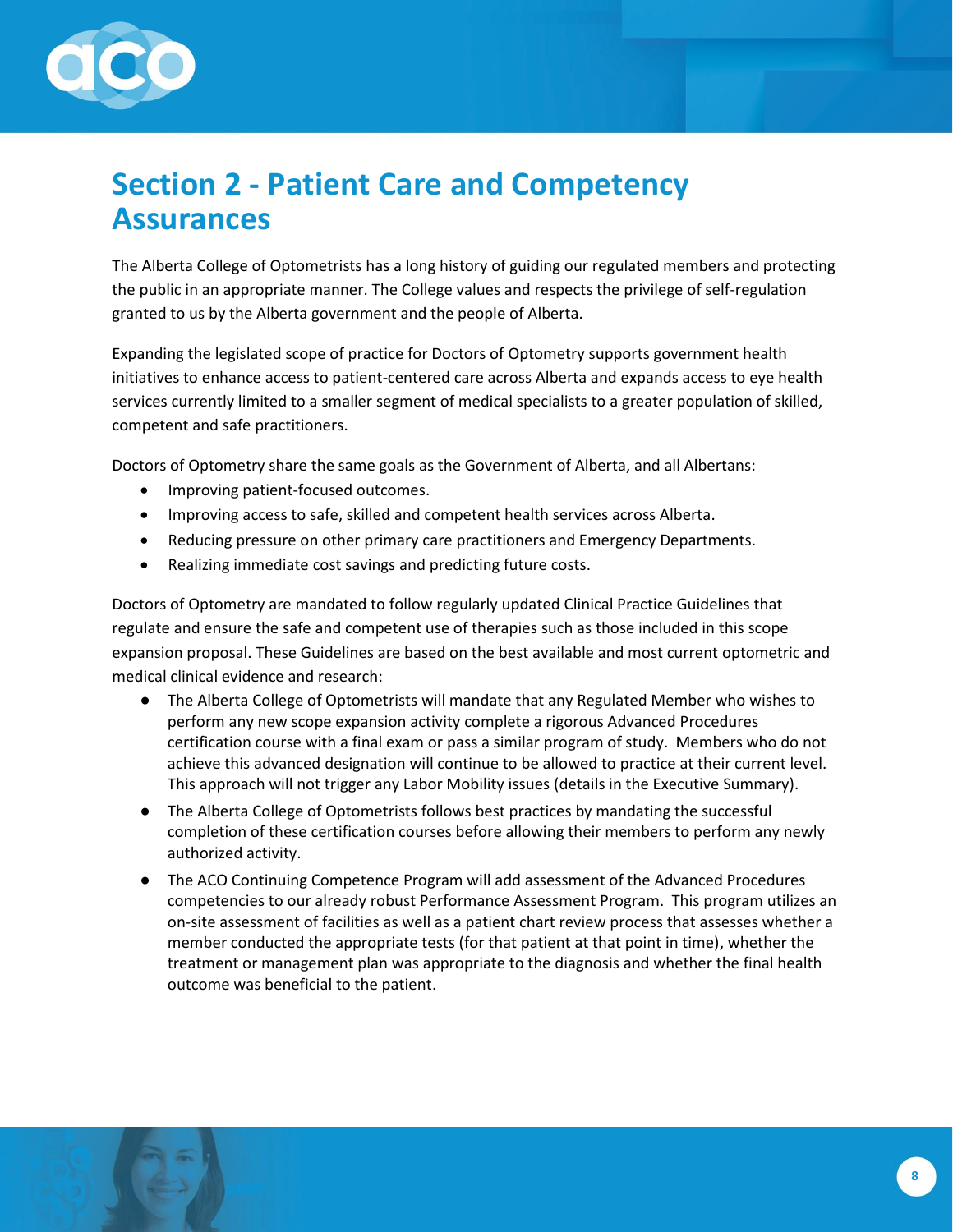

# <span id="page-7-0"></span>**Section 2 - Patient Care and Competency Assurances**

The Alberta College of Optometrists has a long history of guiding our regulated members and protecting the public in an appropriate manner. The College values and respects the privilege of self-regulation granted to us by the Alberta government and the people of Alberta.

Expanding the legislated scope of practice for Doctors of Optometry supports government health initiatives to enhance access to patient-centered care across Alberta and expands access to eye health services currently limited to a smaller segment of medical specialists to a greater population of skilled, competent and safe practitioners.

Doctors of Optometry share the same goals as the Government of Alberta, and all Albertans:

- Improving patient-focused outcomes.
- Improving access to safe, skilled and competent health services across Alberta.
- Reducing pressure on other primary care practitioners and Emergency Departments.
- Realizing immediate cost savings and predicting future costs.

Doctors of Optometry are mandated to follow regularly updated Clinical Practice Guidelines that regulate and ensure the safe and competent use of therapies such as those included in this scope expansion proposal. These Guidelines are based on the best available and most current optometric and medical clinical evidence and research:

- The Alberta College of Optometrists will mandate that any Regulated Member who wishes to perform any new scope expansion activity complete a rigorous Advanced Procedures certification course with a final exam or pass a similar program of study. Members who do not achieve this advanced designation will continue to be allowed to practice at their current level. This approach will not trigger any Labor Mobility issues (details in the Executive Summary).
- The Alberta College of Optometrists follows best practices by mandating the successful completion of these certification courses before allowing their members to perform any newly authorized activity.
- The ACO Continuing Competence Program will add assessment of the Advanced Procedures competencies to our already robust Performance Assessment Program. This program utilizes an on-site assessment of facilities as well as a patient chart review process that assesses whether a member conducted the appropriate tests (for that patient at that point in time), whether the treatment or management plan was appropriate to the diagnosis and whether the final health outcome was beneficial to the patient.

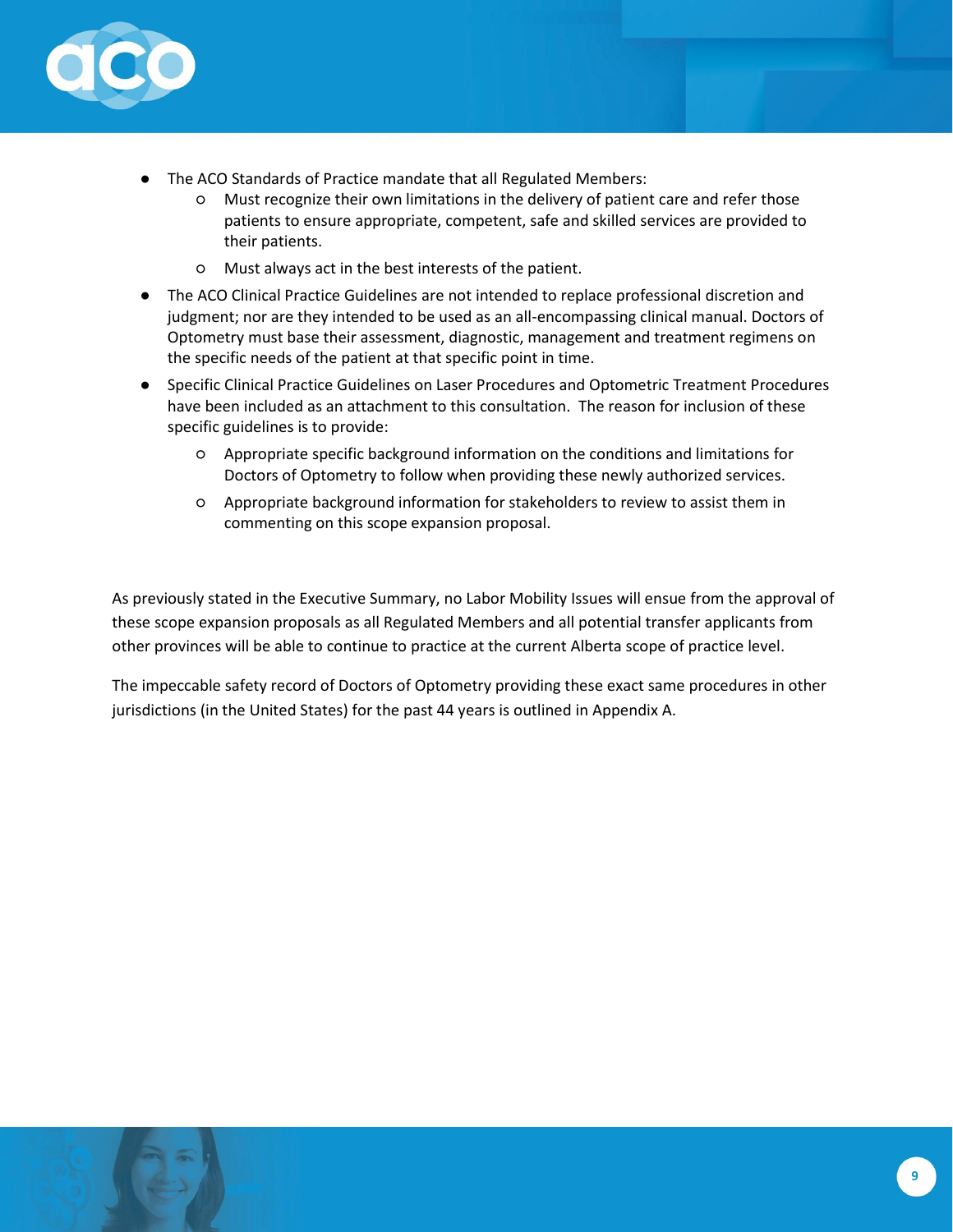

- The ACO Standards of Practice mandate that all Regulated Members:
	- Must recognize their own limitations in the delivery of patient care and refer those patients to ensure appropriate, competent, safe and skilled services are provided to their patients.
	- Must always act in the best interests of the patient.
- The ACO Clinical Practice Guidelines are not intended to replace professional discretion and judgment; nor are they intended to be used as an all-encompassing clinical manual. Doctors of Optometry must base their assessment, diagnostic, management and treatment regimens on the specific needs of the patient at that specific point in time.
- Specific Clinical Practice Guidelines on Laser Procedures and Optometric Treatment Procedures have been included as an attachment to this consultation. The reason for inclusion of these specific guidelines is to provide:
	- Appropriate specific background information on the conditions and limitations for Doctors of Optometry to follow when providing these newly authorized services.
	- Appropriate background information for stakeholders to review to assist them in commenting on this scope expansion proposal.

As previously stated in the Executive Summary, no Labor Mobility Issues will ensue from the approval of these scope expansion proposals as all Regulated Members and all potential transfer applicants from other provinces will be able to continue to practice at the current Alberta scope of practice level.

The impeccable safety record of Doctors of Optometry providing these exact same procedures in other jurisdictions (in the United States) for the past 44 years is outlined in Appendix A.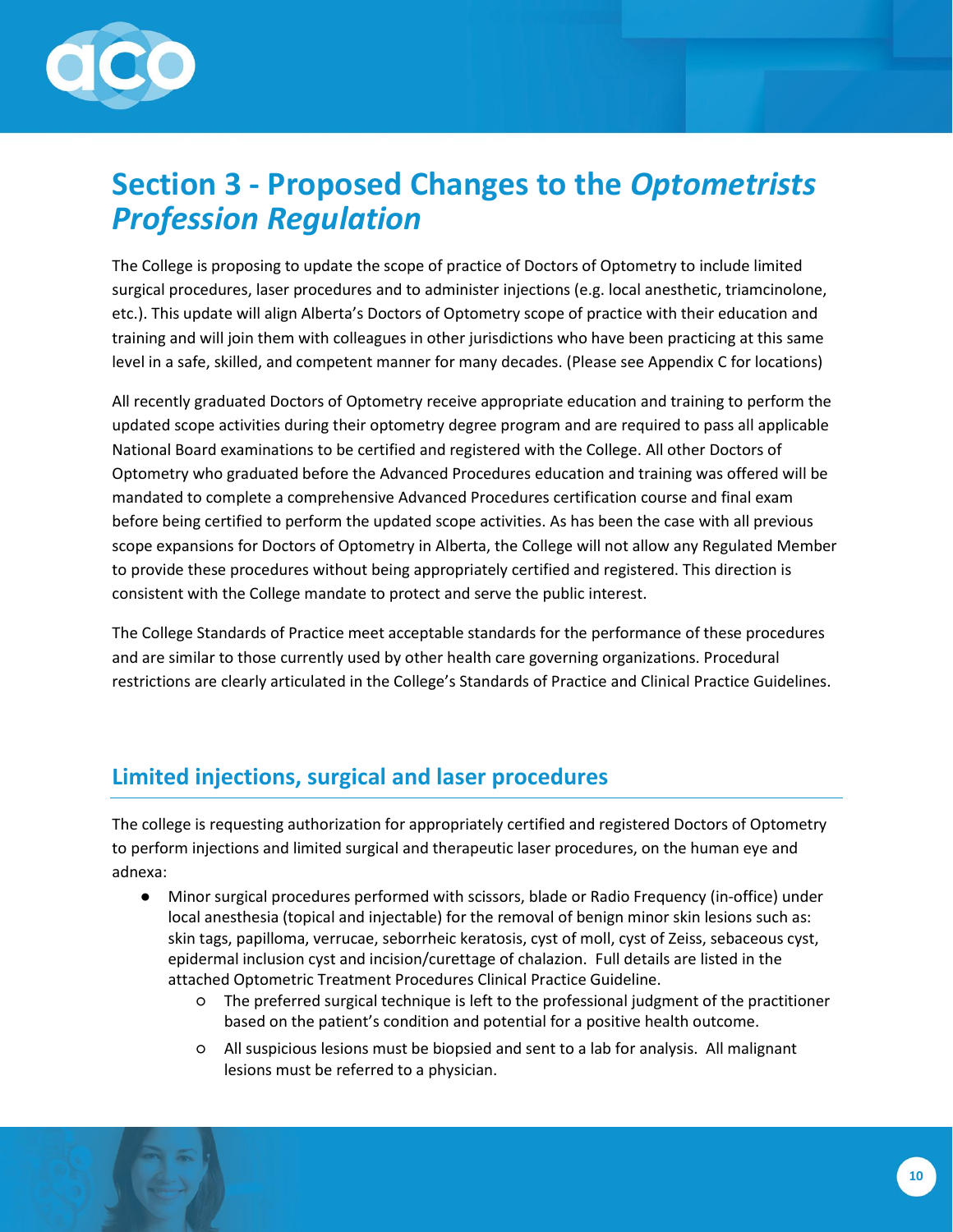

# <span id="page-9-0"></span>**Section 3 - Proposed Changes to the** *Optometrists Profession Regulation*

The College is proposing to update the scope of practice of Doctors of Optometry to include limited surgical procedures, laser procedures and to administer injections (e.g. local anesthetic, triamcinolone, etc.). This update will align Alberta's Doctors of Optometry scope of practice with their education and training and will join them with colleagues in other jurisdictions who have been practicing at this same level in a safe, skilled, and competent manner for many decades. (Please see Appendix C for locations)

All recently graduated Doctors of Optometry receive appropriate education and training to perform the updated scope activities during their optometry degree program and are required to pass all applicable National Board examinations to be certified and registered with the College. All other Doctors of Optometry who graduated before the Advanced Procedures education and training was offered will be mandated to complete a comprehensive Advanced Procedures certification course and final exam before being certified to perform the updated scope activities. As has been the case with all previous scope expansions for Doctors of Optometry in Alberta, the College will not allow any Regulated Member to provide these procedures without being appropriately certified and registered. This direction is consistent with the College mandate to protect and serve the public interest.

The College Standards of Practice meet acceptable standards for the performance of these procedures and are similar to those currently used by other health care governing organizations. Procedural restrictions are clearly articulated in the College's Standards of Practice and Clinical Practice Guidelines.

### <span id="page-9-1"></span>**Limited injections, surgical and laser procedures**

The college is requesting authorization for appropriately certified and registered Doctors of Optometry to perform injections and limited surgical and therapeutic laser procedures, on the human eye and adnexa:

- Minor surgical procedures performed with scissors, blade or Radio Frequency (in-office) under local anesthesia (topical and injectable) for the removal of benign minor skin lesions such as: skin tags, papilloma, verrucae, seborrheic keratosis, cyst of moll, cyst of Zeiss, sebaceous cyst, epidermal inclusion cyst and incision/curettage of chalazion. Full details are listed in the attached Optometric Treatment Procedures Clinical Practice Guideline.
	- The preferred surgical technique is left to the professional judgment of the practitioner based on the patient's condition and potential for a positive health outcome.
	- All suspicious lesions must be biopsied and sent to a lab for analysis. All malignant lesions must be referred to a physician.

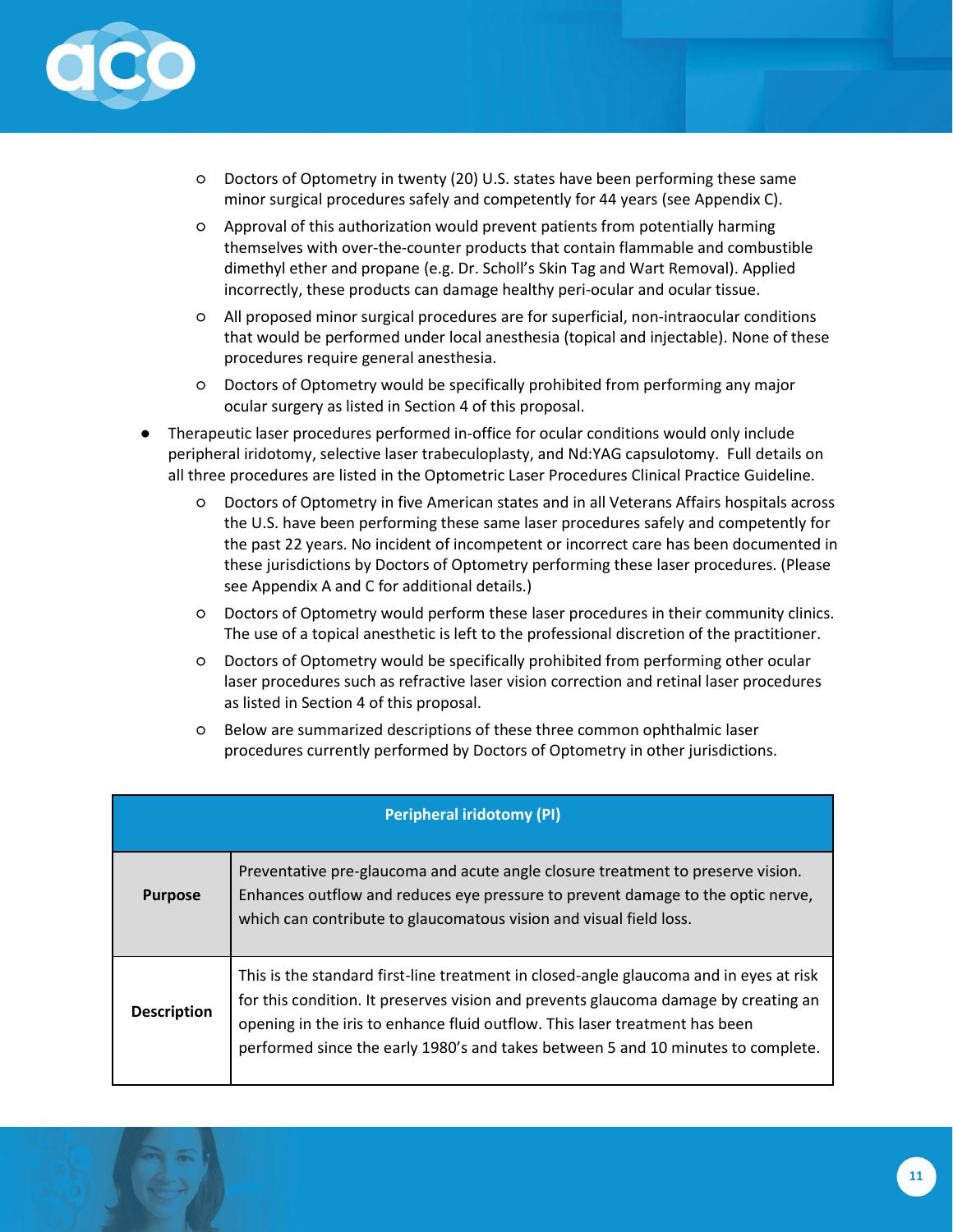

- Doctors of Optometry in twenty (20) U.S. states have been performing these same minor surgical procedures safely and competently for 44 years (see Appendix C).
- Approval of this authorization would prevent patients from potentially harming themselves with over-the-counter products that contain flammable and combustible dimethyl ether and propane (e.g. Dr. Scholl's Skin Tag and Wart Removal). Applied incorrectly, these products can damage healthy peri-ocular and ocular tissue.
- All proposed minor surgical procedures are for superficial, non-intraocular conditions that would be performed under local anesthesia (topical and injectable). None of these procedures require general anesthesia.
- Doctors of Optometry would be specifically prohibited from performing any major ocular surgery as listed in Section 4 of this proposal.
- Therapeutic laser procedures performed in-office for ocular conditions would only include peripheral iridotomy, selective laser trabeculoplasty, and Nd:YAG capsulotomy. Full details on all three procedures are listed in the Optometric Laser Procedures Clinical Practice Guideline.
	- Doctors of Optometry in five American states and in all Veterans Affairs hospitals across the U.S. have been performing these same laser procedures safely and competently for the past 22 years. No incident of incompetent or incorrect care has been documented in these jurisdictions by Doctors of Optometry performing these laser procedures. (Please see Appendix A and C for additional details.)
	- Doctors of Optometry would perform these laser procedures in their community clinics. The use of a topical anesthetic is left to the professional discretion of the practitioner.
	- Doctors of Optometry would be specifically prohibited from performing other ocular laser procedures such as refractive laser vision correction and retinal laser procedures as listed in Section 4 of this proposal.
	- Below are summarized descriptions of these three common ophthalmic laser procedures currently performed by Doctors of Optometry in other jurisdictions.

| <b>Peripheral iridotomy (PI)</b> |                                                                                                                                                                                                                                                                                                                                                  |  |  |
|----------------------------------|--------------------------------------------------------------------------------------------------------------------------------------------------------------------------------------------------------------------------------------------------------------------------------------------------------------------------------------------------|--|--|
| <b>Purpose</b>                   | Preventative pre-glaucoma and acute angle closure treatment to preserve vision.<br>Enhances outflow and reduces eye pressure to prevent damage to the optic nerve,<br>which can contribute to glaucomatous vision and visual field loss.                                                                                                         |  |  |
| <b>Description</b>               | This is the standard first-line treatment in closed-angle glaucoma and in eyes at risk<br>for this condition. It preserves vision and prevents glaucoma damage by creating an<br>opening in the iris to enhance fluid outflow. This laser treatment has been<br>performed since the early 1980's and takes between 5 and 10 minutes to complete. |  |  |

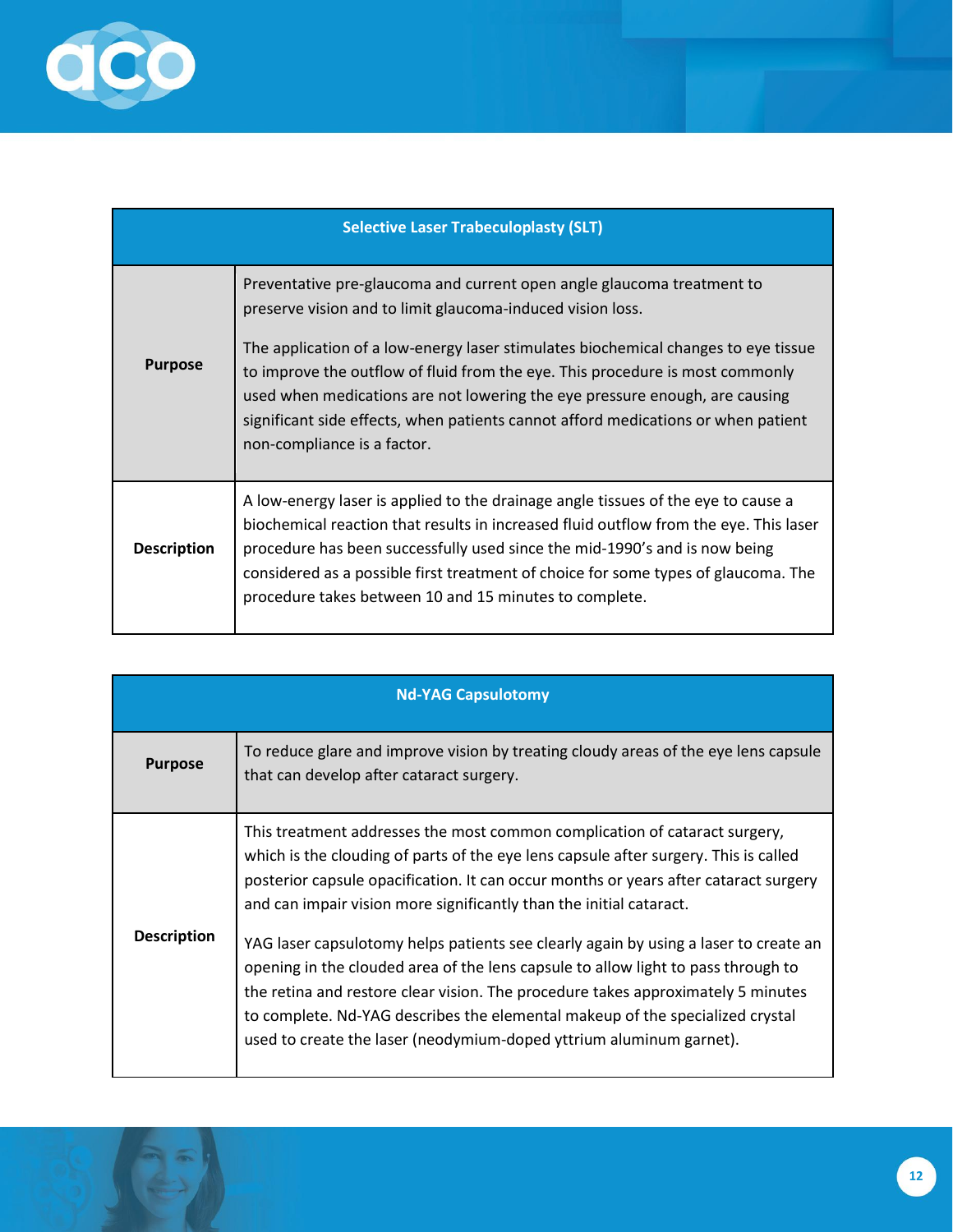

 $\sqrt{2}$ 

| <b>Selective Laser Trabeculoplasty (SLT)</b> |                                                                                                                                                                                                                                                                                                                                                                                                                                                                                                                |  |  |
|----------------------------------------------|----------------------------------------------------------------------------------------------------------------------------------------------------------------------------------------------------------------------------------------------------------------------------------------------------------------------------------------------------------------------------------------------------------------------------------------------------------------------------------------------------------------|--|--|
| <b>Purpose</b>                               | Preventative pre-glaucoma and current open angle glaucoma treatment to<br>preserve vision and to limit glaucoma-induced vision loss.<br>The application of a low-energy laser stimulates biochemical changes to eye tissue<br>to improve the outflow of fluid from the eye. This procedure is most commonly<br>used when medications are not lowering the eye pressure enough, are causing<br>significant side effects, when patients cannot afford medications or when patient<br>non-compliance is a factor. |  |  |
| <b>Description</b>                           | A low-energy laser is applied to the drainage angle tissues of the eye to cause a<br>biochemical reaction that results in increased fluid outflow from the eye. This laser<br>procedure has been successfully used since the mid-1990's and is now being<br>considered as a possible first treatment of choice for some types of glaucoma. The<br>procedure takes between 10 and 15 minutes to complete.                                                                                                       |  |  |

| <b>Nd-YAG Capsulotomy</b> |                                                                                                                                                                                                                                                                                                                                                                                                                       |  |  |
|---------------------------|-----------------------------------------------------------------------------------------------------------------------------------------------------------------------------------------------------------------------------------------------------------------------------------------------------------------------------------------------------------------------------------------------------------------------|--|--|
| <b>Purpose</b>            | To reduce glare and improve vision by treating cloudy areas of the eye lens capsule<br>that can develop after cataract surgery.                                                                                                                                                                                                                                                                                       |  |  |
|                           | This treatment addresses the most common complication of cataract surgery,<br>which is the clouding of parts of the eye lens capsule after surgery. This is called<br>posterior capsule opacification. It can occur months or years after cataract surgery<br>and can impair vision more significantly than the initial cataract.                                                                                     |  |  |
| <b>Description</b>        | YAG laser capsulotomy helps patients see clearly again by using a laser to create an<br>opening in the clouded area of the lens capsule to allow light to pass through to<br>the retina and restore clear vision. The procedure takes approximately 5 minutes<br>to complete. Nd-YAG describes the elemental makeup of the specialized crystal<br>used to create the laser (neodymium-doped yttrium aluminum garnet). |  |  |

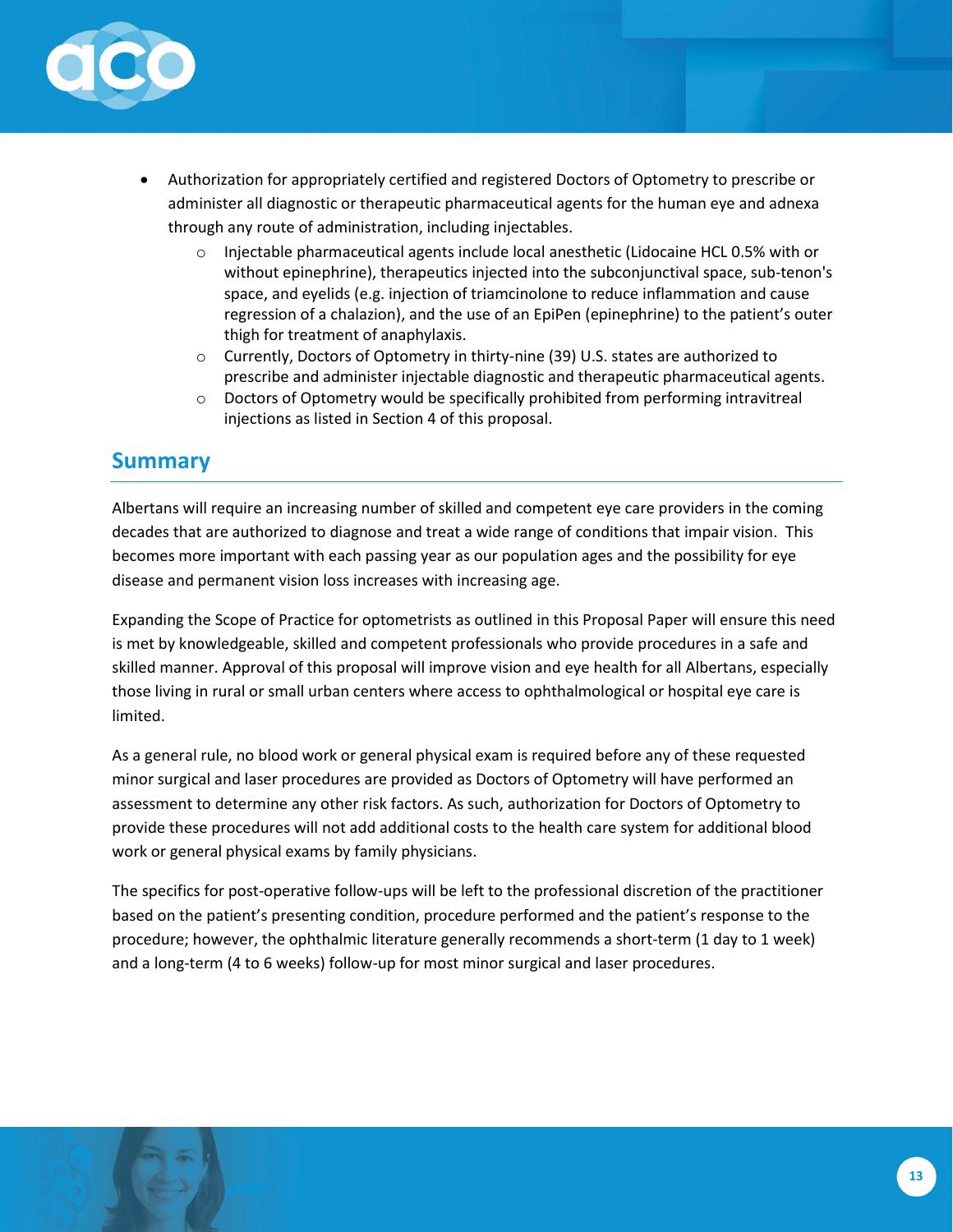

- Authorization for appropriately certified and registered Doctors of Optometry to prescribe or administer all diagnostic or therapeutic pharmaceutical agents for the human eye and adnexa through any route of administration, including injectables.
	- $\circ$  Injectable pharmaceutical agents include local anesthetic (Lidocaine HCL 0.5% with or without epinephrine), therapeutics injected into the subconjunctival space, sub-tenon's space, and eyelids (e.g. injection of triamcinolone to reduce inflammation and cause regression of a chalazion), and the use of an EpiPen (epinephrine) to the patient's outer thigh for treatment of anaphylaxis.
	- o Currently, Doctors of Optometry in thirty-nine (39) U.S. states are authorized to prescribe and administer injectable diagnostic and therapeutic pharmaceutical agents.
	- $\circ$  Doctors of Optometry would be specifically prohibited from performing intravitreal injections as listed in Section 4 of this proposal.

### <span id="page-12-0"></span>**Summary**

Albertans will require an increasing number of skilled and competent eye care providers in the coming decades that are authorized to diagnose and treat a wide range of conditions that impair vision. This becomes more important with each passing year as our population ages and the possibility for eye disease and permanent vision loss increases with increasing age.

Expanding the Scope of Practice for optometrists as outlined in this Proposal Paper will ensure this need is met by knowledgeable, skilled and competent professionals who provide procedures in a safe and skilled manner. Approval of this proposal will improve vision and eye health for all Albertans, especially those living in rural or small urban centers where access to ophthalmological or hospital eye care is limited.

As a general rule, no blood work or general physical exam is required before any of these requested minor surgical and laser procedures are provided as Doctors of Optometry will have performed an assessment to determine any other risk factors. As such, authorization for Doctors of Optometry to provide these procedures will not add additional costs to the health care system for additional blood work or general physical exams by family physicians.

The specifics for post-operative follow-ups will be left to the professional discretion of the practitioner based on the patient's presenting condition, procedure performed and the patient's response to the procedure; however, the ophthalmic literature generally recommends a short-term (1 day to 1 week) and a long-term (4 to 6 weeks) follow-up for most minor surgical and laser procedures.

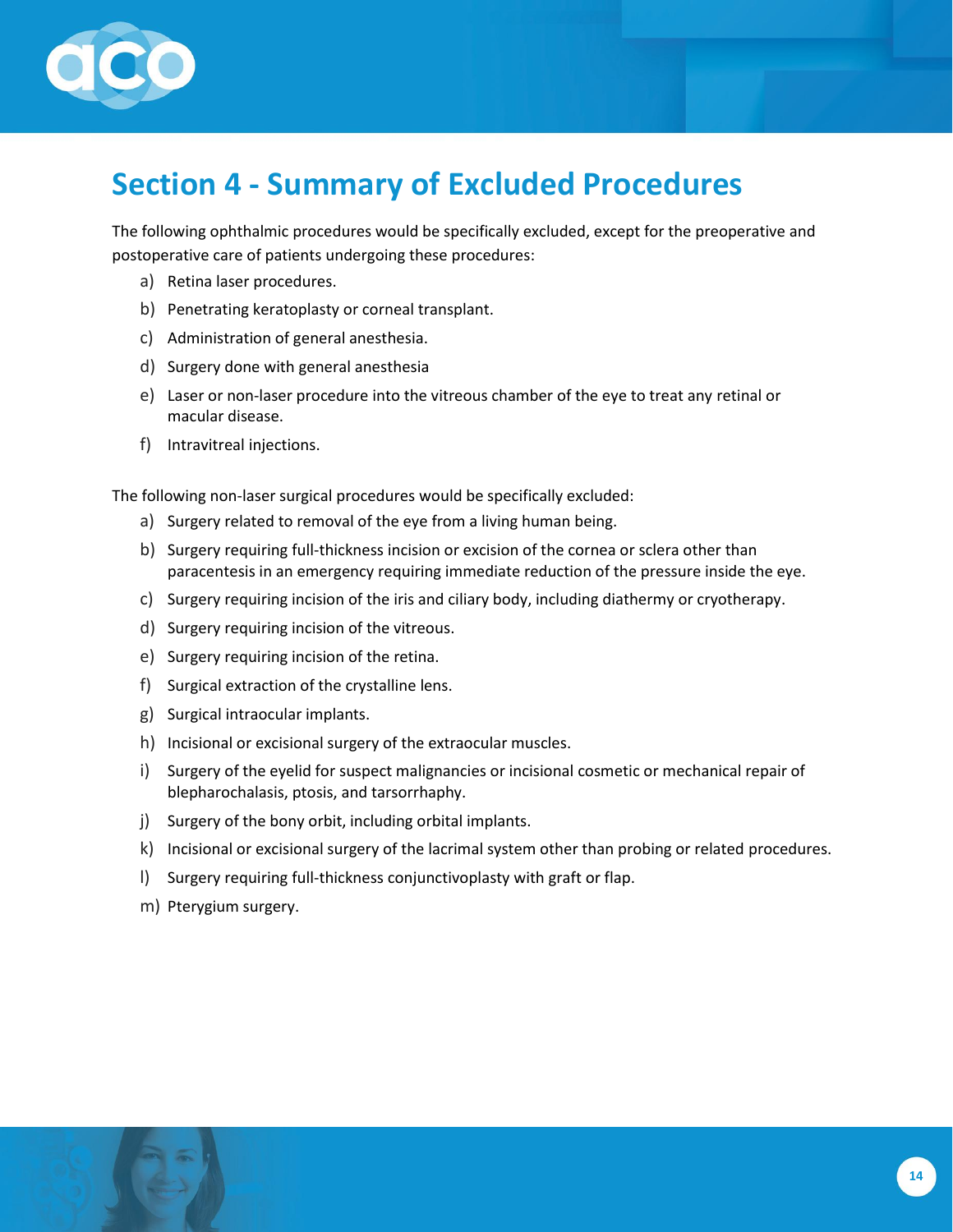

# <span id="page-13-0"></span>**Section 4 - Summary of Excluded Procedures**

The following ophthalmic procedures would be specifically excluded, except for the preoperative and postoperative care of patients undergoing these procedures:

- a) Retina laser procedures.
- b) Penetrating keratoplasty or corneal transplant.
- c) Administration of general anesthesia.
- d) Surgery done with general anesthesia
- e) Laser or non-laser procedure into the vitreous chamber of the eye to treat any retinal or macular disease.
- f) Intravitreal injections.

The following non-laser surgical procedures would be specifically excluded:

- a) Surgery related to removal of the eye from a living human being.
- b) Surgery requiring full-thickness incision or excision of the cornea or sclera other than paracentesis in an emergency requiring immediate reduction of the pressure inside the eye.
- c) Surgery requiring incision of the iris and ciliary body, including diathermy or cryotherapy.
- d) Surgery requiring incision of the vitreous.
- e) Surgery requiring incision of the retina.
- f) Surgical extraction of the crystalline lens.
- g) Surgical intraocular implants.
- h) Incisional or excisional surgery of the extraocular muscles.
- i) Surgery of the eyelid for suspect malignancies or incisional cosmetic or mechanical repair of blepharochalasis, ptosis, and tarsorrhaphy.
- j) Surgery of the bony orbit, including orbital implants.
- k) Incisional or excisional surgery of the lacrimal system other than probing or related procedures.
- l) Surgery requiring full-thickness conjunctivoplasty with graft or flap.
- m) Pterygium surgery.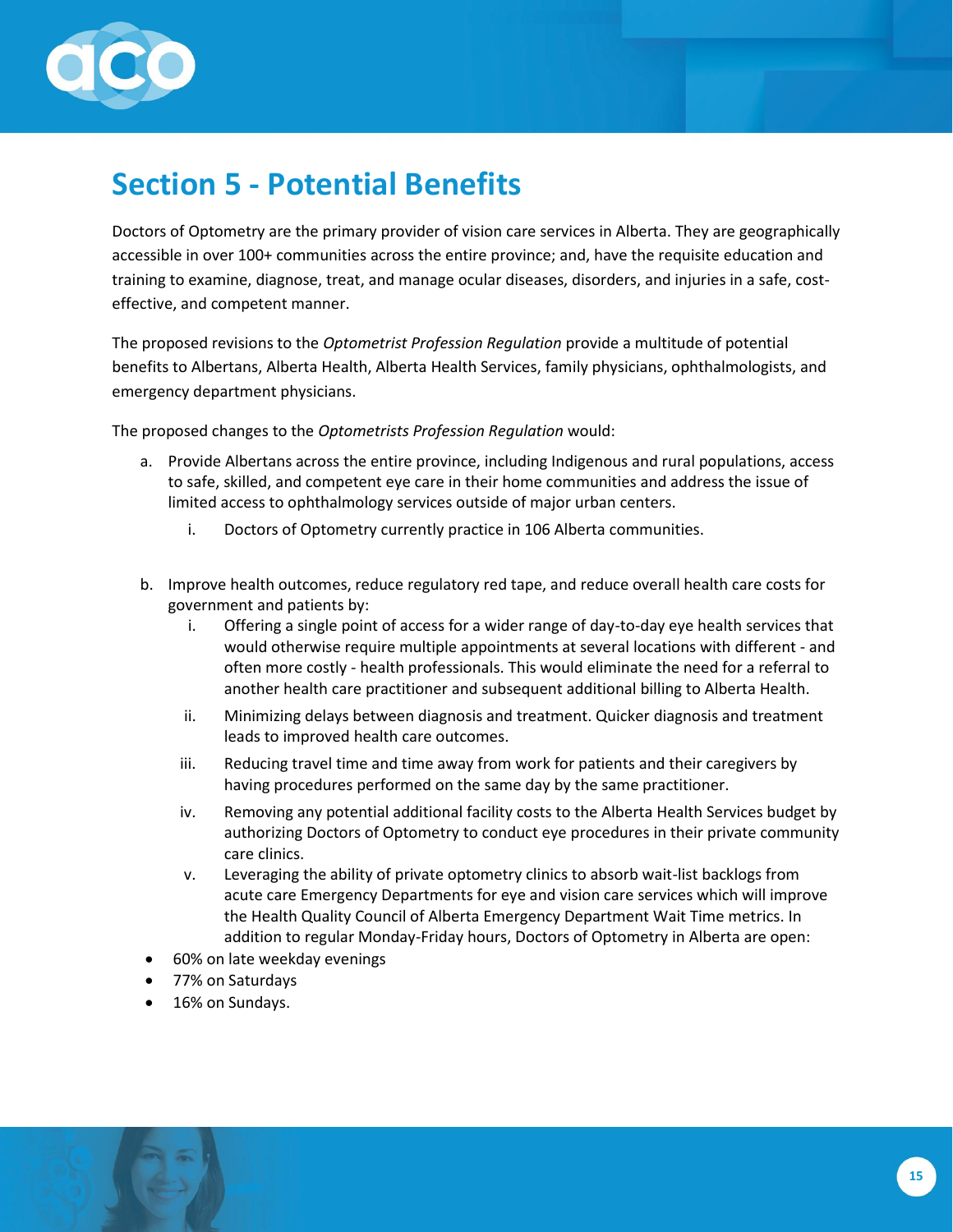

# <span id="page-14-0"></span>**Section 5 - Potential Benefits**

Doctors of Optometry are the primary provider of vision care services in Alberta. They are geographically accessible in over 100+ communities across the entire province; and, have the requisite education and training to examine, diagnose, treat, and manage ocular diseases, disorders, and injuries in a safe, costeffective, and competent manner.

The proposed revisions to the *Optometrist Profession Regulation* provide a multitude of potential benefits to Albertans, Alberta Health, Alberta Health Services, family physicians, ophthalmologists, and emergency department physicians.

The proposed changes to the *Optometrists Profession Regulation* would:

- a. Provide Albertans across the entire province, including Indigenous and rural populations, access to safe, skilled, and competent eye care in their home communities and address the issue of limited access to ophthalmology services outside of major urban centers.
	- i. Doctors of Optometry currently practice in 106 Alberta communities.
- b. Improve health outcomes, reduce regulatory red tape, and reduce overall health care costs for government and patients by:
	- i. Offering a single point of access for a wider range of day-to-day eye health services that would otherwise require multiple appointments at several locations with different - and often more costly - health professionals. This would eliminate the need for a referral to another health care practitioner and subsequent additional billing to Alberta Health.
	- ii. Minimizing delays between diagnosis and treatment. Quicker diagnosis and treatment leads to improved health care outcomes.
	- iii. Reducing travel time and time away from work for patients and their caregivers by having procedures performed on the same day by the same practitioner.
	- iv. Removing any potential additional facility costs to the Alberta Health Services budget by authorizing Doctors of Optometry to conduct eye procedures in their private community care clinics.
	- v. Leveraging the ability of private optometry clinics to absorb wait-list backlogs from acute care Emergency Departments for eye and vision care services which will improve the Health Quality Council of Alberta Emergency Department Wait Time metrics. In addition to regular Monday-Friday hours, Doctors of Optometry in Alberta are open:
- 60% on late weekday evenings
- 77% on Saturdays
- 16% on Sundays.

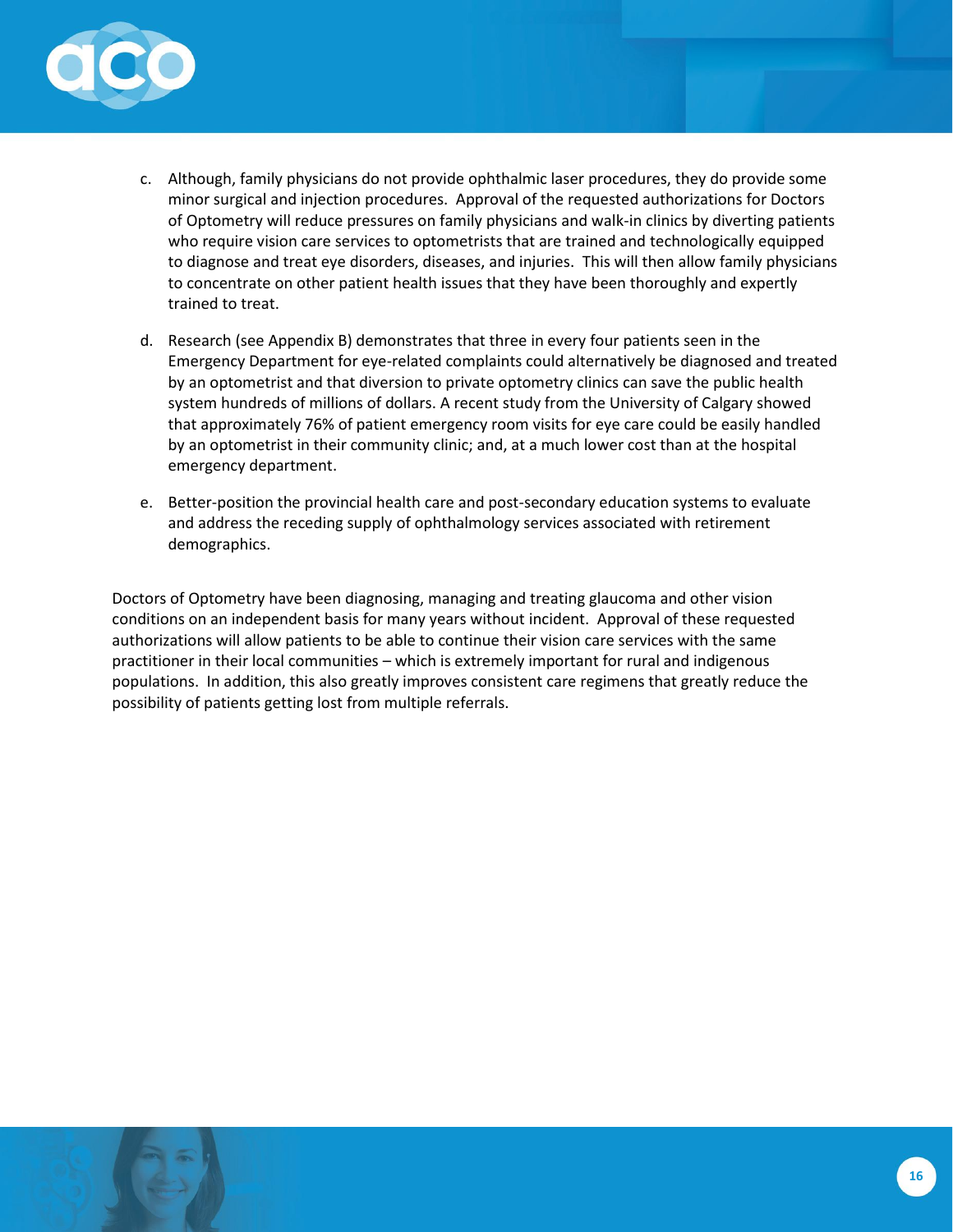

- c. Although, family physicians do not provide ophthalmic laser procedures, they do provide some minor surgical and injection procedures. Approval of the requested authorizations for Doctors of Optometry will reduce pressures on family physicians and walk-in clinics by diverting patients who require vision care services to optometrists that are trained and technologically equipped to diagnose and treat eye disorders, diseases, and injuries. This will then allow family physicians to concentrate on other patient health issues that they have been thoroughly and expertly trained to treat.
- d. Research (see Appendix B) demonstrates that three in every four patients seen in the Emergency Department for eye-related complaints could alternatively be diagnosed and treated by an optometrist and that diversion to private optometry clinics can save the public health system hundreds of millions of dollars. A recent study from the University of Calgary showed that approximately 76% of patient emergency room visits for eye care could be easily handled by an optometrist in their community clinic; and, at a much lower cost than at the hospital emergency department.
- e. Better-position the provincial health care and post-secondary education systems to evaluate and address the receding supply of ophthalmology services associated with retirement demographics.

Doctors of Optometry have been diagnosing, managing and treating glaucoma and other vision conditions on an independent basis for many years without incident. Approval of these requested authorizations will allow patients to be able to continue their vision care services with the same practitioner in their local communities – which is extremely important for rural and indigenous populations. In addition, this also greatly improves consistent care regimens that greatly reduce the possibility of patients getting lost from multiple referrals.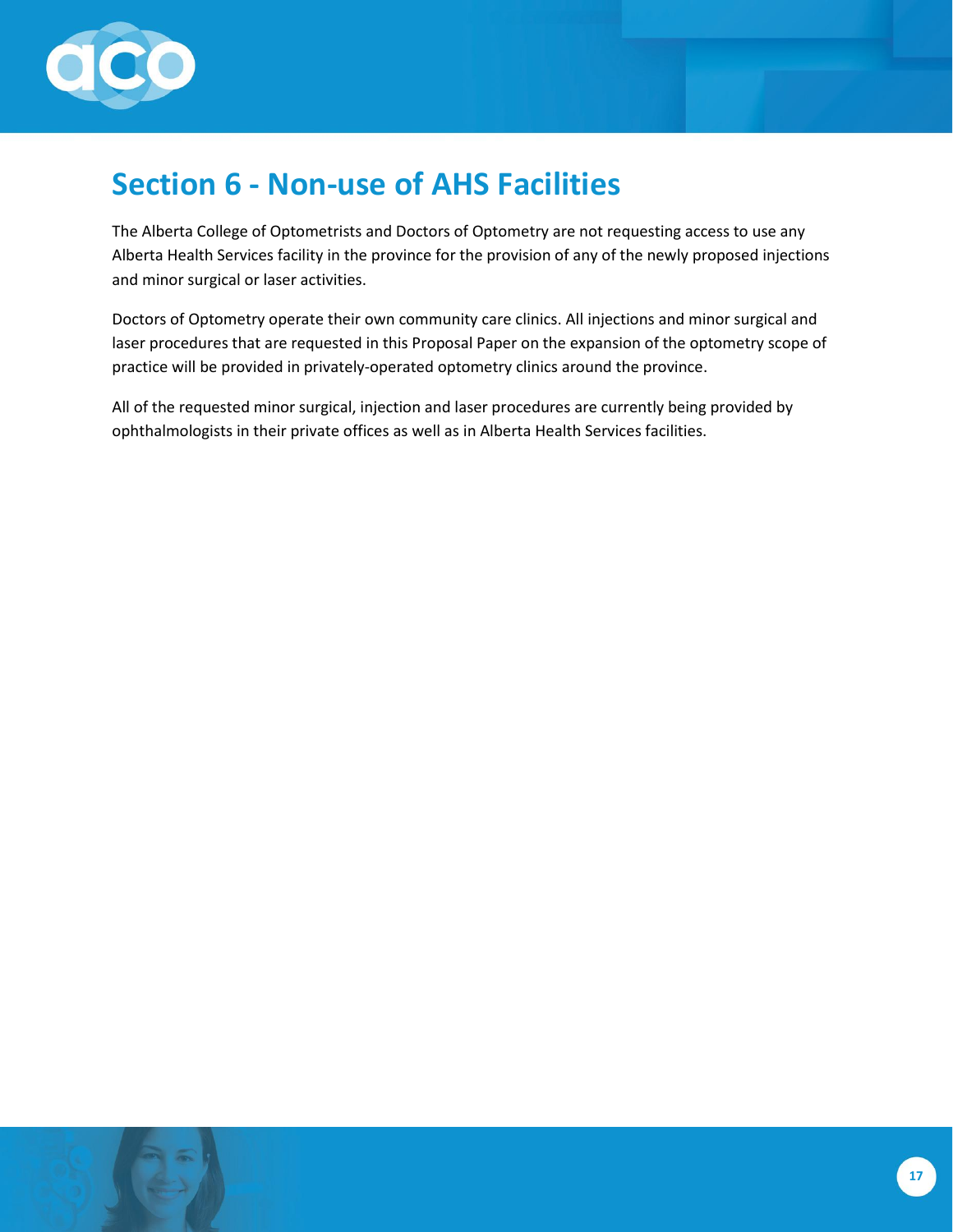

# <span id="page-16-0"></span>**Section 6 - Non-use of AHS Facilities**

The Alberta College of Optometrists and Doctors of Optometry are not requesting access to use any Alberta Health Services facility in the province for the provision of any of the newly proposed injections and minor surgical or laser activities.

Doctors of Optometry operate their own community care clinics. All injections and minor surgical and laser procedures that are requested in this Proposal Paper on the expansion of the optometry scope of practice will be provided in privately-operated optometry clinics around the province.

All of the requested minor surgical, injection and laser procedures are currently being provided by ophthalmologists in their private offices as well as in Alberta Health Services facilities.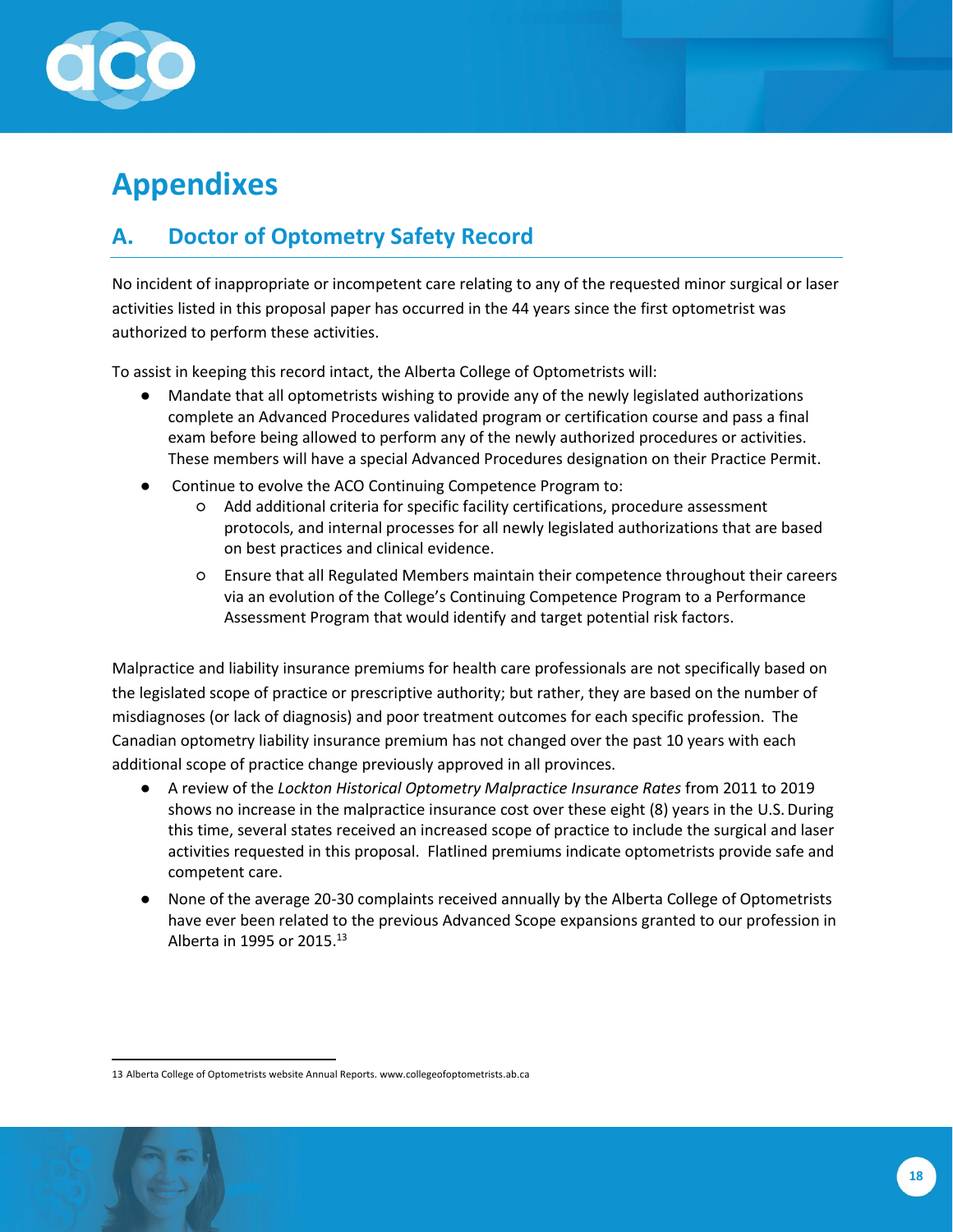

# <span id="page-17-0"></span>**Appendixes**

### <span id="page-17-1"></span>**A. Doctor of Optometry Safety Record**

No incident of inappropriate or incompetent care relating to any of the requested minor surgical or laser activities listed in this proposal paper has occurred in the 44 years since the first optometrist was authorized to perform these activities.

To assist in keeping this record intact, the Alberta College of Optometrists will:

- Mandate that all optometrists wishing to provide any of the newly legislated authorizations complete an Advanced Procedures validated program or certification course and pass a final exam before being allowed to perform any of the newly authorized procedures or activities. These members will have a special Advanced Procedures designation on their Practice Permit.
- Continue to evolve the ACO Continuing Competence Program to:
	- Add additional criteria for specific facility certifications, procedure assessment protocols, and internal processes for all newly legislated authorizations that are based on best practices and clinical evidence.
	- Ensure that all Regulated Members maintain their competence throughout their careers via an evolution of the College's Continuing Competence Program to a Performance Assessment Program that would identify and target potential risk factors.

Malpractice and liability insurance premiums for health care professionals are not specifically based on the legislated scope of practice or prescriptive authority; but rather, they are based on the number of misdiagnoses (or lack of diagnosis) and poor treatment outcomes for each specific profession. The Canadian optometry liability insurance premium has not changed over the past 10 years with each additional scope of practice change previously approved in all provinces.

- A review of the *Lockton Historical Optometry Malpractice Insurance Rates* from 2011 to 2019 shows no increase in the malpractice insurance cost over these eight (8) years in the U.S. During this time, several states received an increased scope of practice to include the surgical and laser activities requested in this proposal. Flatlined premiums indicate optometrists provide safe and competent care.
- None of the average 20-30 complaints received annually by the Alberta College of Optometrists have ever been related to the previous Advanced Scope expansions granted to our profession in Alberta in 1995 or 2015. $13$

<sup>13</sup> Alberta College of Optometrists website Annual Reports[. www.collegeofoptometrists.ab.ca](http://www.collegeofoptometrists.ab.ca/)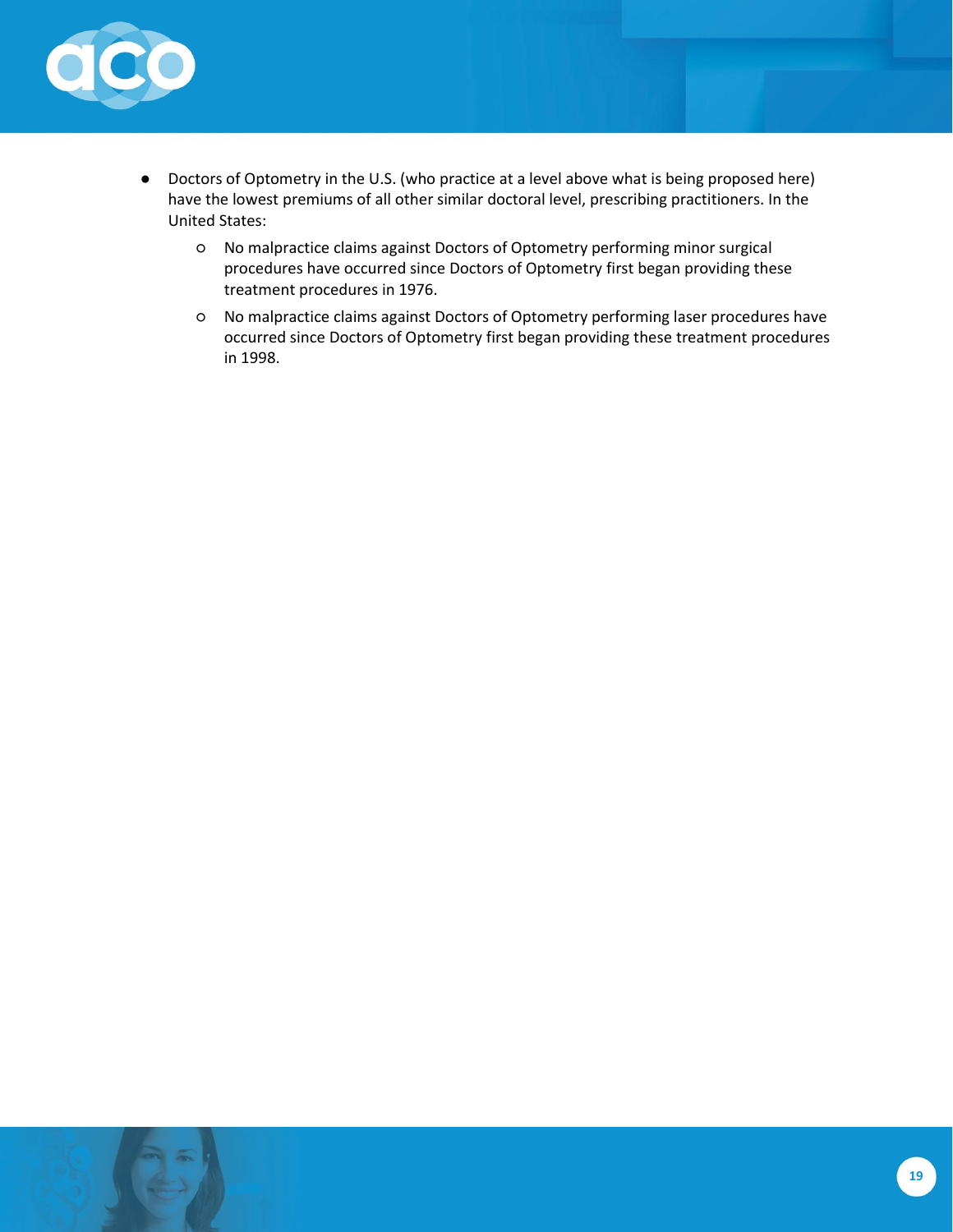

- Doctors of Optometry in the U.S. (who practice at a level above what is being proposed here) have the lowest premiums of all other similar doctoral level, prescribing practitioners. In the United States:
	- No malpractice claims against Doctors of Optometry performing minor surgical procedures have occurred since Doctors of Optometry first began providing these treatment procedures in 1976.
	- No malpractice claims against Doctors of Optometry performing laser procedures have occurred since Doctors of Optometry first began providing these treatment procedures in 1998.

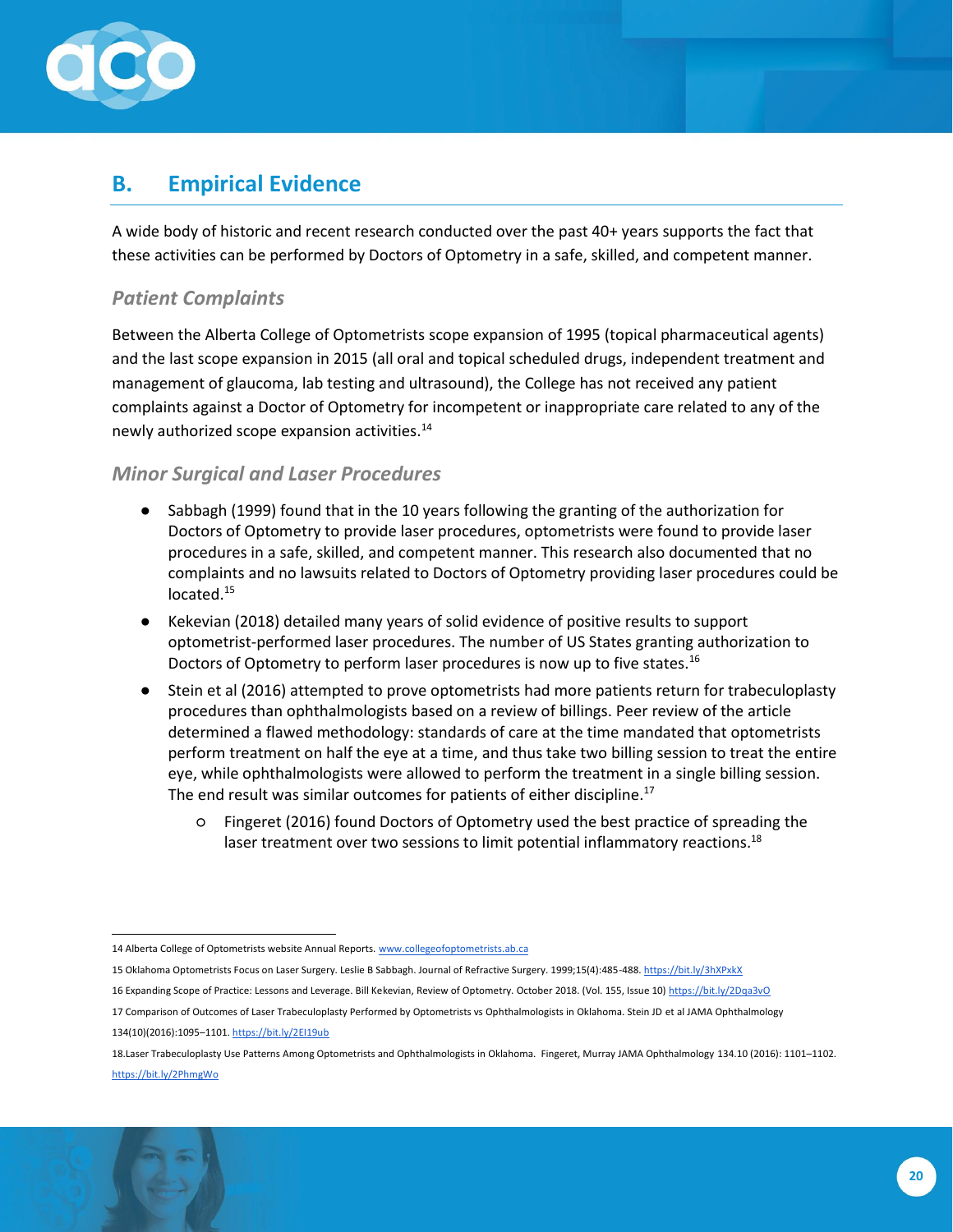

### <span id="page-19-0"></span>**B. Empirical Evidence**

A wide body of historic and recent research conducted over the past 40+ years supports the fact that these activities can be performed by Doctors of Optometry in a safe, skilled, and competent manner.

#### *Patient Complaints*

Between the Alberta College of Optometrists scope expansion of 1995 (topical pharmaceutical agents) and the last scope expansion in 2015 (all oral and topical scheduled drugs, independent treatment and management of glaucoma, lab testing and ultrasound), the College has not received any patient complaints against a Doctor of Optometry for incompetent or inappropriate care related to any of the newly authorized scope expansion activities.<sup>14</sup>

#### *Minor Surgical and Laser Procedures*

- Sabbagh (1999) found that in the 10 years following the granting of the authorization for Doctors of Optometry to provide laser procedures, optometrists were found to provide laser procedures in a safe, skilled, and competent manner. This research also documented that no complaints and no lawsuits related to Doctors of Optometry providing laser procedures could be located.<sup>15</sup>
- Kekevian (2018) detailed many years of solid evidence of positive results to support optometrist-performed laser procedures. The number of US States granting authorization to Doctors of Optometry to perform laser procedures is now up to five states.<sup>16</sup>
- Stein et al (2016) attempted to prove optometrists had more patients return for trabeculoplasty procedures than ophthalmologists based on a review of billings. Peer review of the article determined a flawed methodology: standards of care at the time mandated that optometrists perform treatment on half the eye at a time, and thus take two billing session to treat the entire eye, while ophthalmologists were allowed to perform the treatment in a single billing session. The end result was similar outcomes for patients of either discipline.<sup>17</sup>
	- Fingeret (2016) found Doctors of Optometry used the best practice of spreading the laser treatment over two sessions to limit potential inflammatory reactions.<sup>18</sup>

- 15 Oklahoma Optometrists Focus on Laser Surgery. Leslie B Sabbagh. Journal of Refractive Surgery. 1999;15(4):485-488[. https://bit.ly/3hXPxkX](https://bit.ly/3hXPxkX)
- 16 Expanding Scope of Practice: Lessons and Leverage. Bill Kekevian, Review of Optometry. October 2018. (Vol. 155, Issue 10[\) https://bit.ly/2Dqa3vO](https://bit.ly/2Dqa3vO)
- 17 Comparison of Outcomes of Laser Trabeculoplasty Performed by Optometrists vs Ophthalmologists in Oklahoma. Stein JD et al JAMA Ophthalmology 134(10)(2016):1095–1101[. https://bit.ly/2EI19ub](https://bit.ly/2EI19ub)

<sup>18.</sup>Laser Trabeculoplasty Use Patterns Among Optometrists and Ophthalmologists in Oklahoma. Fingeret, Murray JAMA Ophthalmology 134.10 (2016): 1101–1102. <https://bit.ly/2PhmgWo>



<sup>14</sup> Alberta College of Optometrists website Annual Reports[. www.collegeofoptometrists.ab.ca](http://www.collegeofoptometrists.ab.ca/)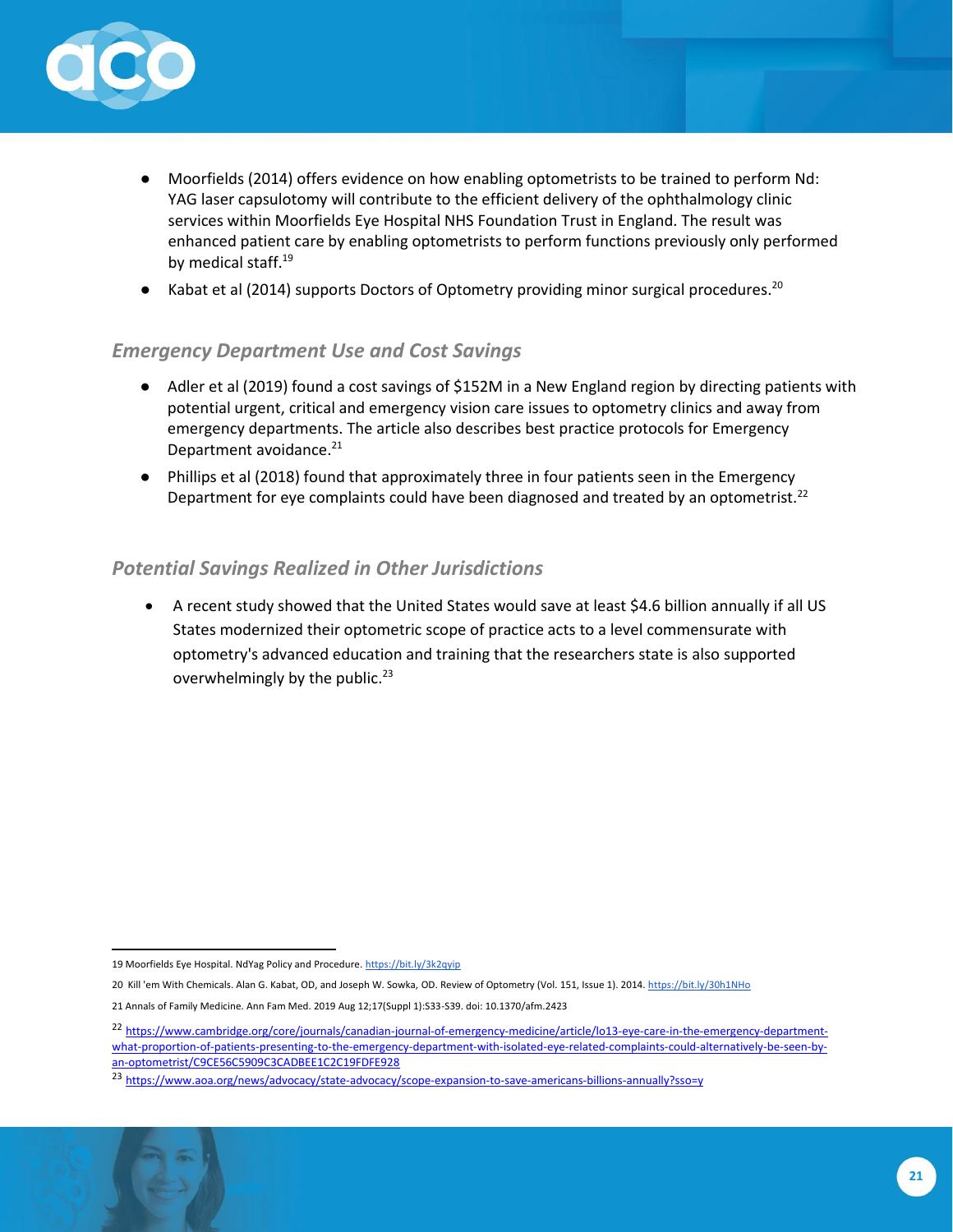

- Moorfields (2014) offers evidence on how enabling optometrists to be trained to perform Nd: YAG laser capsulotomy will contribute to the efficient delivery of the ophthalmology clinic services within Moorfields Eye Hospital NHS Foundation Trust in England. The result was enhanced patient care by enabling optometrists to perform functions previously only performed by medical staff.<sup>19</sup>
- Kabat et al (2014) supports Doctors of Optometry providing minor surgical procedures.<sup>20</sup>

#### *Emergency Department Use and Cost Savings*

- Adler et al (2019) found a cost savings of \$152M in a New England region by directing patients with potential urgent, critical and emergency vision care issues to optometry clinics and away from emergency departments. The article also describes best practice protocols for Emergency Department avoidance.<sup>21</sup>
- Phillips et al (2018) found that approximately three in four patients seen in the Emergency Department for eye complaints could have been diagnosed and treated by an optometrist.<sup>22</sup>

#### *Potential Savings Realized in Other Jurisdictions*

• A recent study showed that the United States would save at least \$4.6 billion annually if all US States modernized their optometric scope of practice acts to a level commensurate with optometry's advanced education and training that the researchers state is also supported overwhelmingly by the public. $^{23}$ 

<sup>19</sup> Moorfields Eye Hospital. NdYag Policy and Procedure[. https://bit.ly/3k2qyip](https://bit.ly/3k2qyip)

<sup>20</sup> Kill 'em With Chemicals. Alan G. Kabat, OD, and Joseph W. Sowka, OD. Review of Optometry (Vol. 151, Issue 1). 2014.<https://bit.ly/30h1NHo>

<sup>21</sup> Annals of Family Medicine. Ann Fam Med. 2019 Aug 12;17(Suppl 1):S33-S39. doi: 10.1370/afm.2423

<sup>&</sup>lt;sup>22</sup> [https://www.cambridge.org/core/journals/canadian-journal-of-emergency-medicine/article/lo13-eye-care-in-the-emergency-department](https://www.cambridge.org/core/journals/canadian-journal-of-emergency-medicine/article/lo13-eye-care-in-the-emergency-department-what-proportion-of-patients-presenting-to-the-emergency-department-with-isolated-eye-related-complaints-could-alternatively-be-seen-by-an-optometrist/C9CE56C5909C3CADBEE1C2C19FDFE928)[what-proportion-of-patients-presenting-to-the-emergency-department-with-isolated-eye-related-complaints-could-alternatively-be-seen-by](https://www.cambridge.org/core/journals/canadian-journal-of-emergency-medicine/article/lo13-eye-care-in-the-emergency-department-what-proportion-of-patients-presenting-to-the-emergency-department-with-isolated-eye-related-complaints-could-alternatively-be-seen-by-an-optometrist/C9CE56C5909C3CADBEE1C2C19FDFE928)[an-optometrist/C9CE56C5909C3CADBEE1C2C19FDFE928](https://www.cambridge.org/core/journals/canadian-journal-of-emergency-medicine/article/lo13-eye-care-in-the-emergency-department-what-proportion-of-patients-presenting-to-the-emergency-department-with-isolated-eye-related-complaints-could-alternatively-be-seen-by-an-optometrist/C9CE56C5909C3CADBEE1C2C19FDFE928)

<sup>&</sup>lt;sup>23</sup> <https://www.aoa.org/news/advocacy/state-advocacy/scope-expansion-to-save-americans-billions-annually?sso=y>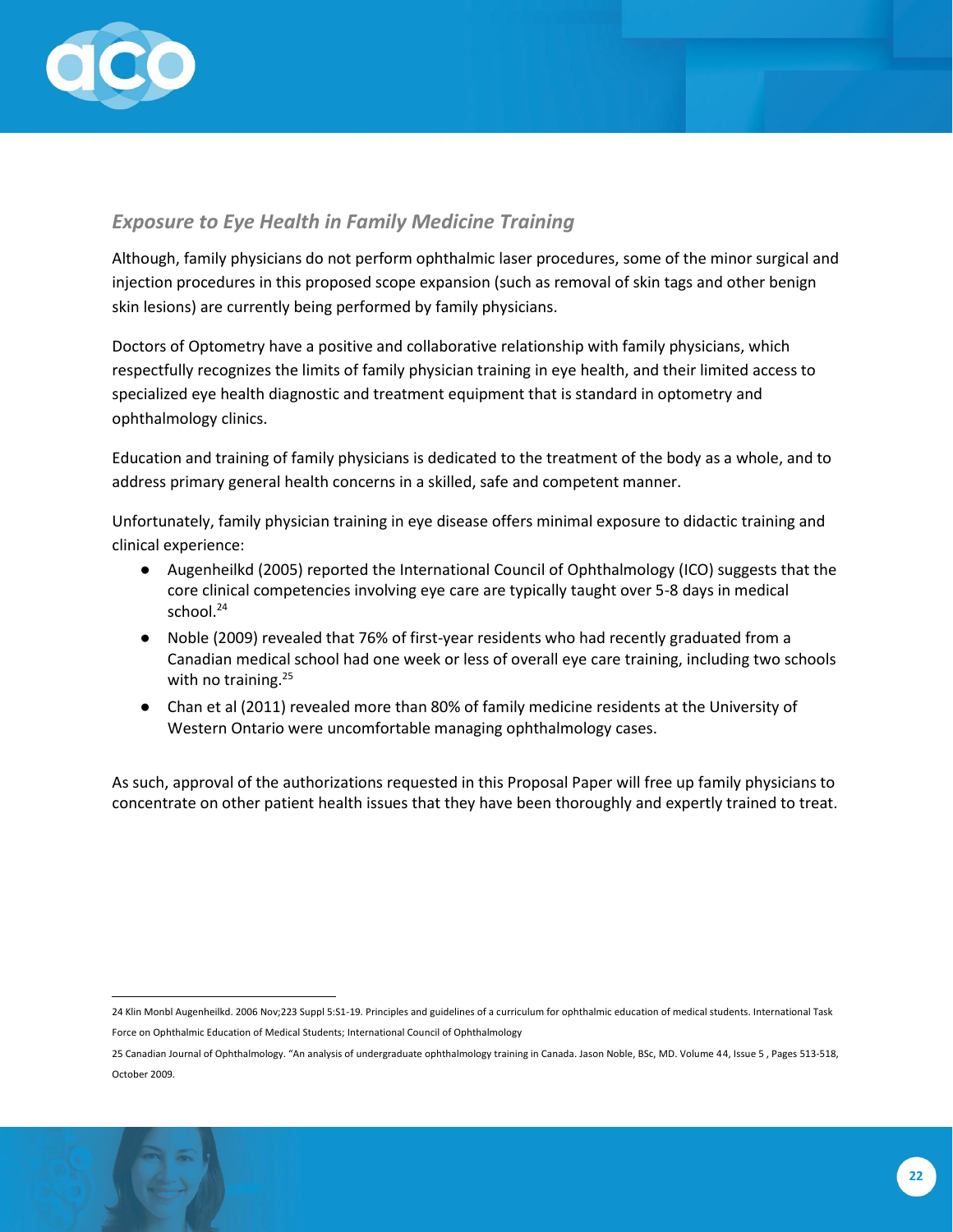

#### *Exposure to Eye Health in Family Medicine Training*

Although, family physicians do not perform ophthalmic laser procedures, some of the minor surgical and injection procedures in this proposed scope expansion (such as removal of skin tags and other benign skin lesions) are currently being performed by family physicians.

Doctors of Optometry have a positive and collaborative relationship with family physicians, which respectfully recognizes the limits of family physician training in eye health, and their limited access to specialized eye health diagnostic and treatment equipment that is standard in optometry and ophthalmology clinics.

Education and training of family physicians is dedicated to the treatment of the body as a whole, and to address primary general health concerns in a skilled, safe and competent manner.

Unfortunately, family physician training in eye disease offers minimal exposure to didactic training and clinical experience:

- Augenheilkd (2005) reported the International Council of Ophthalmology (ICO) suggests that the core clinical competencies involving eye care are typically taught over 5-8 days in medical school.<sup>24</sup>
- Noble (2009) revealed that 76% of first-year residents who had recently graduated from a Canadian medical school had one week or less of overall eye care training, including two schools with no training.<sup>25</sup>
- Chan et al (2011) revealed more than 80% of family medicine residents at the University of Western Ontario were uncomfortable managing ophthalmology cases.

As such, approval of the authorizations requested in this Proposal Paper will free up family physicians to concentrate on other patient health issues that they have been thoroughly and expertly trained to treat.

<sup>24</sup> Klin Monbl Augenheilkd. 2006 Nov;223 Suppl 5:S1-19. Principles and guidelines of a curriculum for ophthalmic education of medical students. International Task Force on Ophthalmic Education of Medical Students; International Council of Ophthalmology

<sup>25</sup> Canadian Journal of Ophthalmology. "An analysis of undergraduate ophthalmology training in Canada. Jason Noble, BSc, MD. Volume 44, Issue 5 , Pages 513-518, October 2009.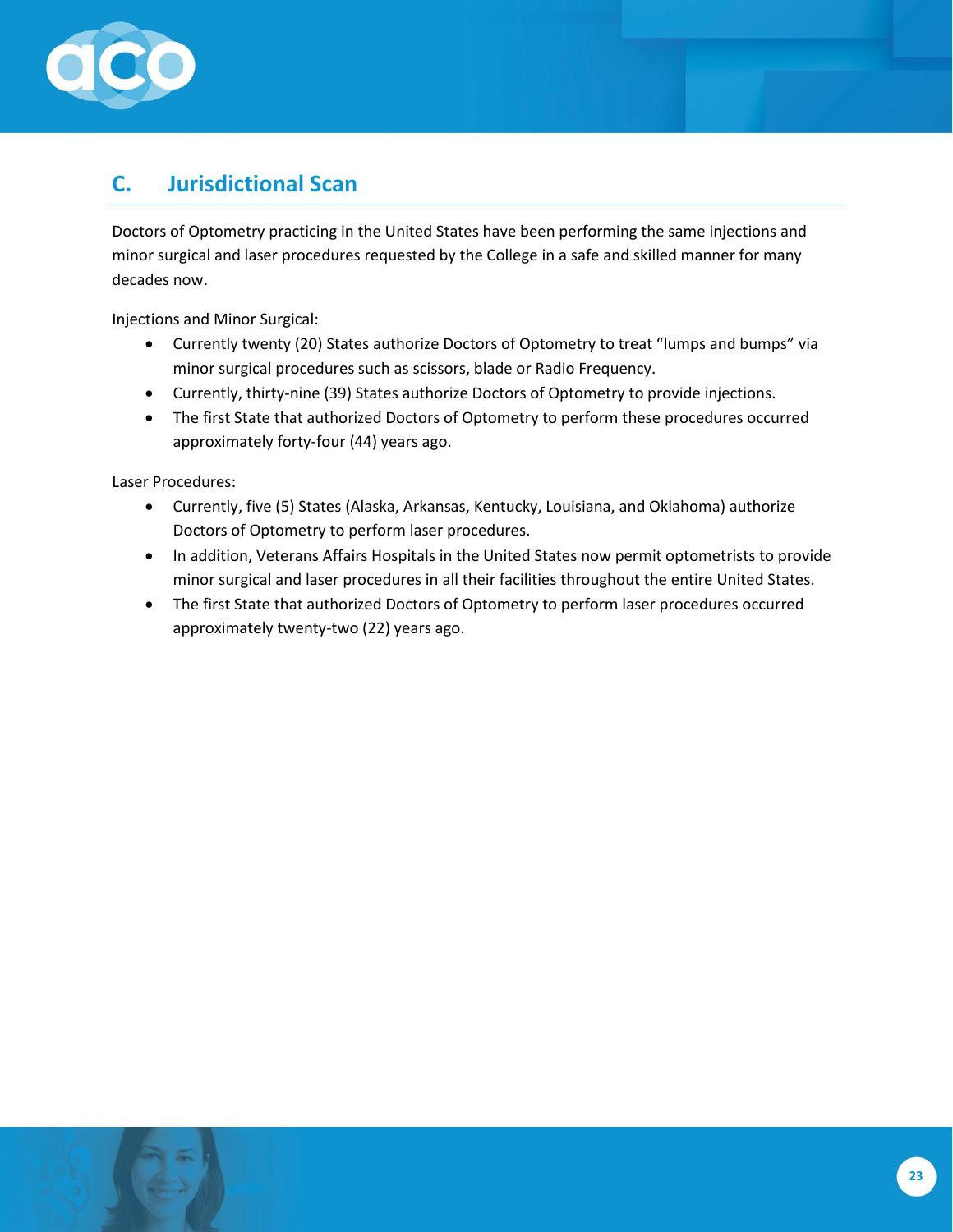

### <span id="page-22-0"></span>**C. Jurisdictional Scan**

Doctors of Optometry practicing in the United States have been performing the same injections and minor surgical and laser procedures requested by the College in a safe and skilled manner for many decades now.

Injections and Minor Surgical:

- Currently twenty (20) States authorize Doctors of Optometry to treat "lumps and bumps" via minor surgical procedures such as scissors, blade or Radio Frequency.
- Currently, thirty-nine (39) States authorize Doctors of Optometry to provide injections.
- The first State that authorized Doctors of Optometry to perform these procedures occurred approximately forty-four (44) years ago.

Laser Procedures:

- Currently, five (5) States (Alaska, Arkansas, Kentucky, Louisiana, and Oklahoma) authorize Doctors of Optometry to perform laser procedures.
- In addition, Veterans Affairs Hospitals in the United States now permit optometrists to provide minor surgical and laser procedures in all their facilities throughout the entire United States.
- The first State that authorized Doctors of Optometry to perform laser procedures occurred approximately twenty-two (22) years ago.

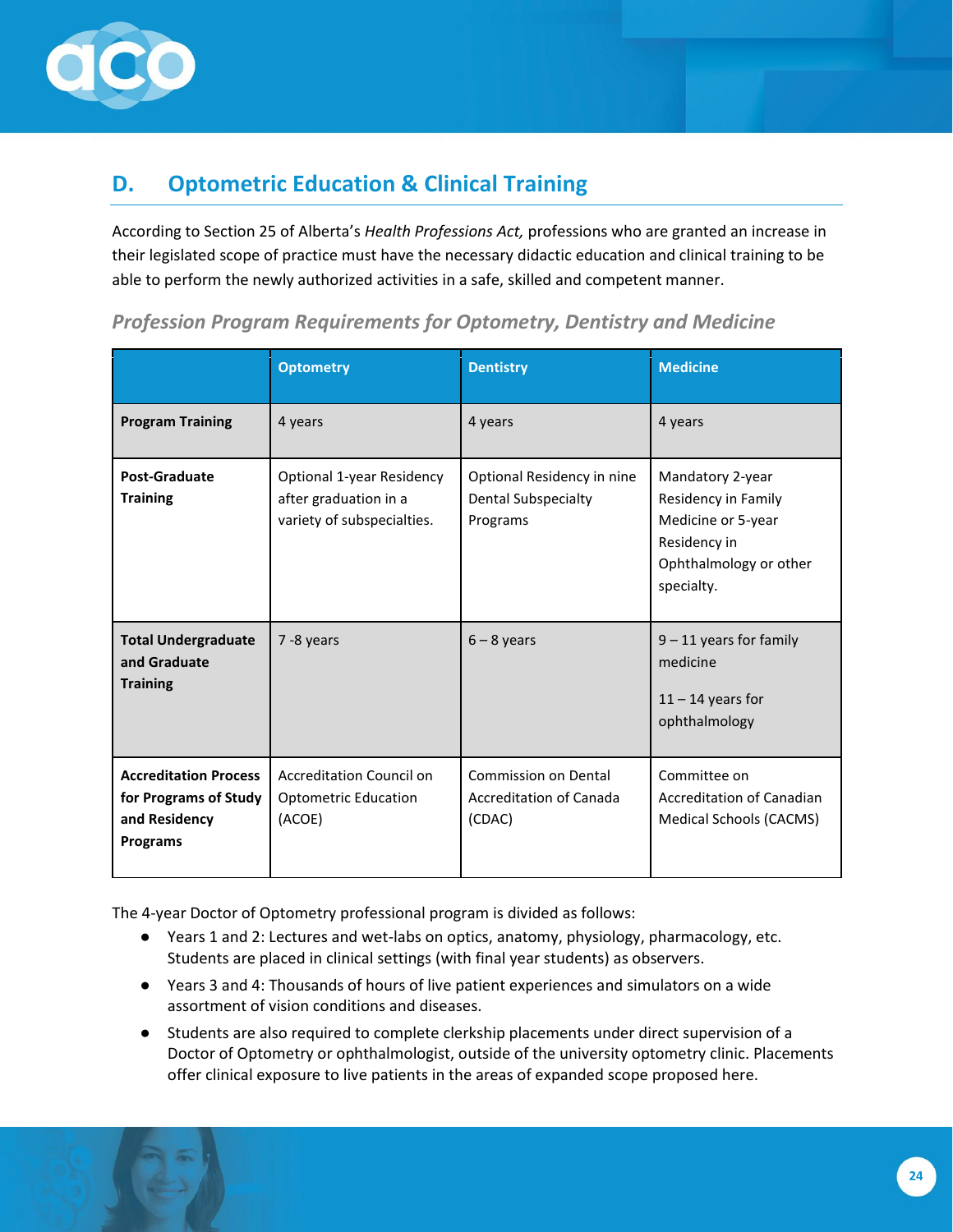

### <span id="page-23-0"></span>**D. Optometric Education & Clinical Training**

According to Section 25 of Alberta's *Health Professions Act,* professions who are granted an increase in their legislated scope of practice must have the necessary didactic education and clinical training to be able to perform the newly authorized activities in a safe, skilled and competent manner.

|                                                                                           | <b>Optometry</b>                                                                 | <b>Dentistry</b>                                                     | <b>Medicine</b>                                                                                                       |
|-------------------------------------------------------------------------------------------|----------------------------------------------------------------------------------|----------------------------------------------------------------------|-----------------------------------------------------------------------------------------------------------------------|
| <b>Program Training</b>                                                                   | 4 years                                                                          | 4 years                                                              | 4 years                                                                                                               |
| <b>Post-Graduate</b><br><b>Training</b>                                                   | Optional 1-year Residency<br>after graduation in a<br>variety of subspecialties. | Optional Residency in nine<br><b>Dental Subspecialty</b><br>Programs | Mandatory 2-year<br>Residency in Family<br>Medicine or 5-year<br>Residency in<br>Ophthalmology or other<br>specialty. |
| <b>Total Undergraduate</b><br>and Graduate<br><b>Training</b>                             | 7 -8 years                                                                       | $6 - 8$ years                                                        | $9 - 11$ years for family<br>medicine<br>$11 - 14$ years for<br>ophthalmology                                         |
| <b>Accreditation Process</b><br>for Programs of Study<br>and Residency<br><b>Programs</b> | <b>Accreditation Council on</b><br><b>Optometric Education</b><br>(ACOE)         | <b>Commission on Dental</b><br>Accreditation of Canada<br>(CDAC)     | Committee on<br>Accreditation of Canadian<br><b>Medical Schools (CACMS)</b>                                           |

#### *Profession Program Requirements for Optometry, Dentistry and Medicine*

The 4-year Doctor of Optometry professional program is divided as follows:

- Years 1 and 2: Lectures and wet-labs on optics, anatomy, physiology, pharmacology, etc. Students are placed in clinical settings (with final year students) as observers.
- Years 3 and 4: Thousands of hours of live patient experiences and simulators on a wide assortment of vision conditions and diseases.
- Students are also required to complete clerkship placements under direct supervision of a Doctor of Optometry or ophthalmologist, outside of the university optometry clinic. Placements offer clinical exposure to live patients in the areas of expanded scope proposed here.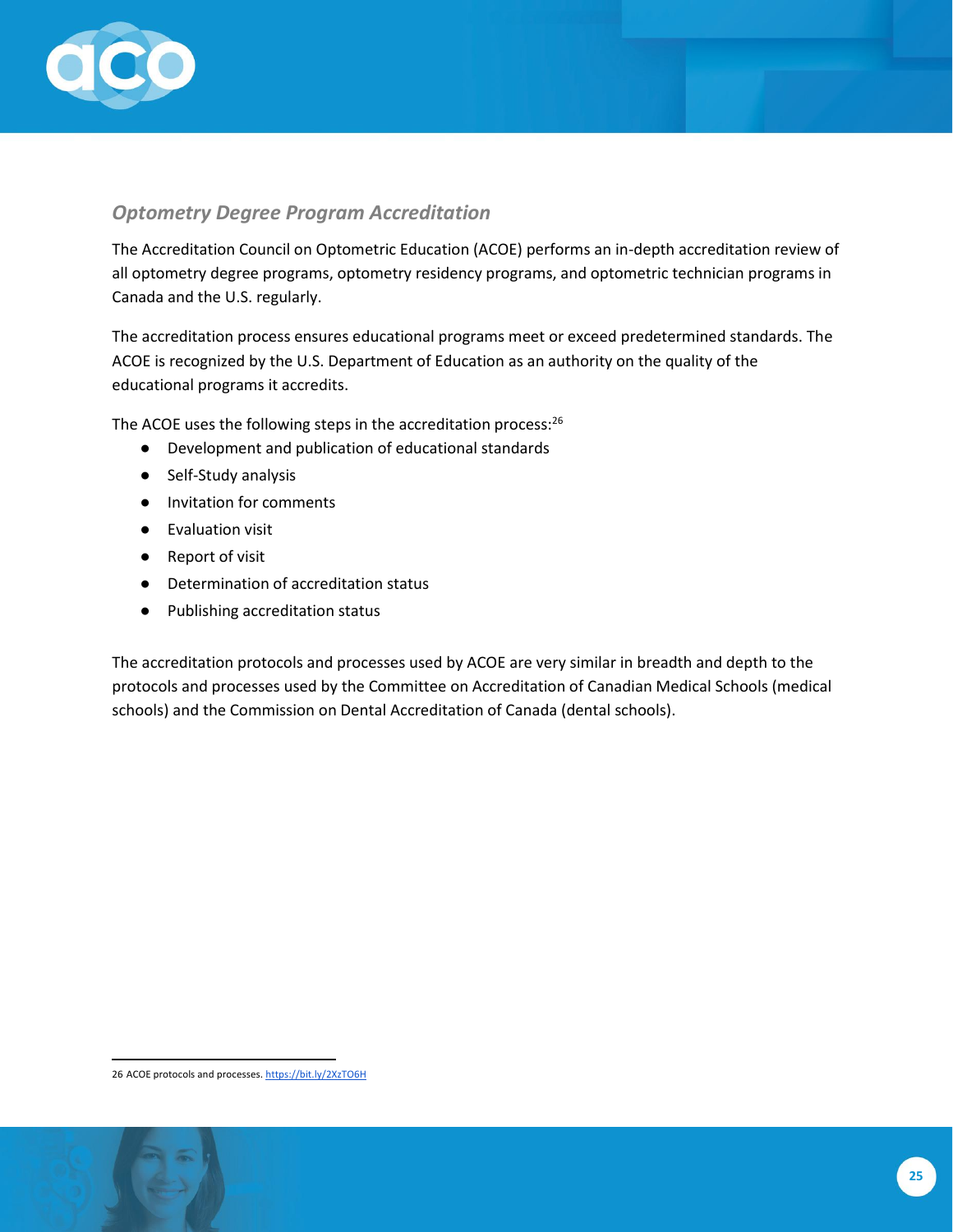

#### *Optometry Degree Program Accreditation*

The Accreditation Council on Optometric Education (ACOE) performs an in-depth accreditation review of all optometry degree programs, optometry residency programs, and optometric technician programs in Canada and the U.S. regularly.

The accreditation process ensures educational programs meet or exceed predetermined standards. The ACOE is recognized by the U.S. Department of Education as an authority on the quality of the educational programs it accredits.

The ACOE uses the following steps in the accreditation process:<sup>26</sup>

- Development and publication of educational standards
- Self-Study analysis
- Invitation for comments
- Evaluation visit
- Report of visit
- Determination of accreditation status
- Publishing accreditation status

The accreditation protocols and processes used by ACOE are very similar in breadth and depth to the protocols and processes used by the Committee on Accreditation of Canadian Medical Schools (medical schools) and the Commission on Dental Accreditation of Canada (dental schools).

<sup>26</sup> ACOE protocols and processes[. https://bit.ly/2XzTO6H](https://bit.ly/2XzTO6H)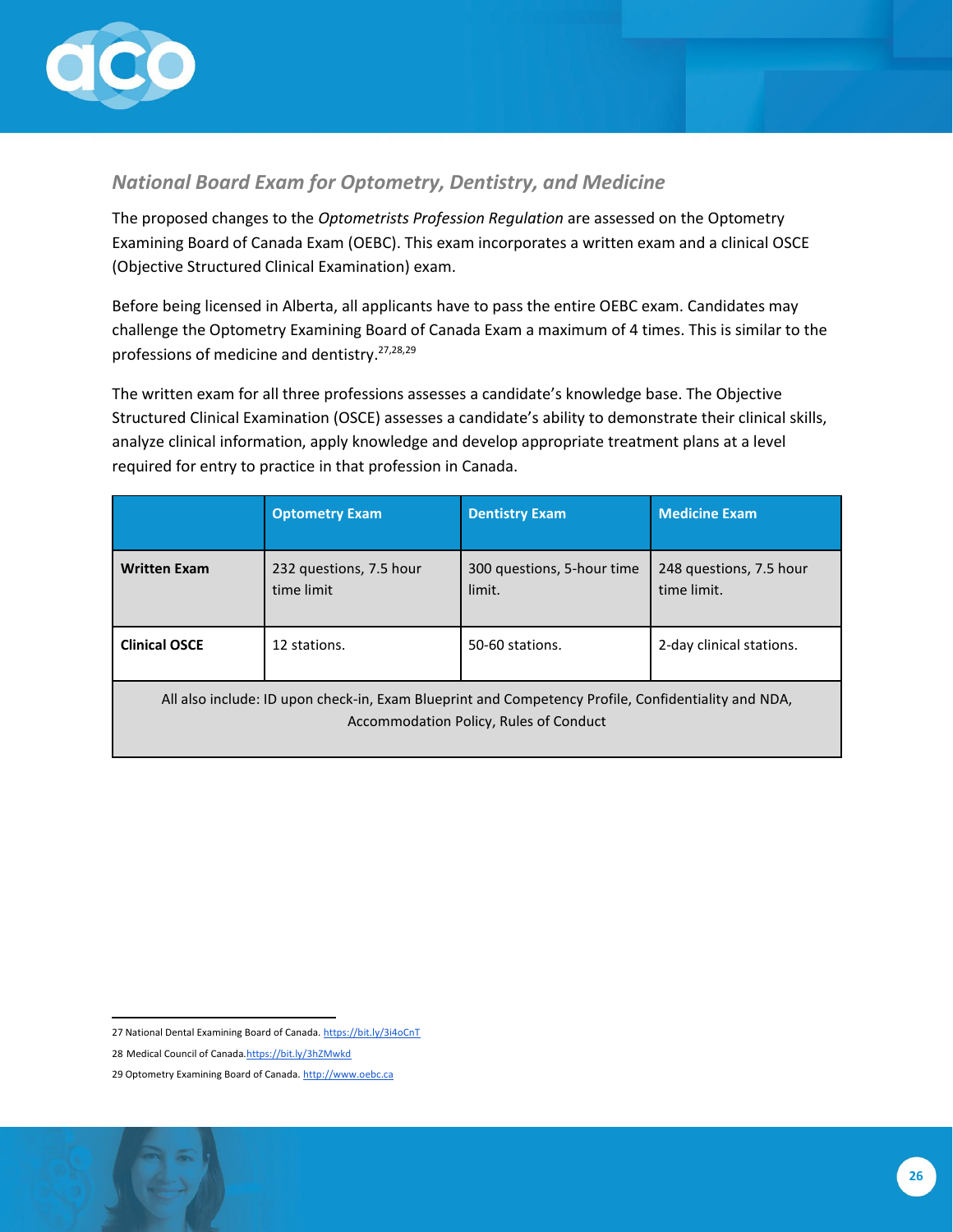

#### *National Board Exam for Optometry, Dentistry, and Medicine*

The proposed changes to the *Optometrists Profession Regulation* are assessed on the Optometry Examining Board of Canada Exam (OEBC). This exam incorporates a written exam and a clinical OSCE (Objective Structured Clinical Examination) exam.

Before being licensed in Alberta, all applicants have to pass the entire OEBC exam. Candidates may challenge the Optometry Examining Board of Canada Exam a maximum of 4 times. This is similar to the professions of medicine and dentistry.27,28,29

The written exam for all three professions assesses a candidate's knowledge base. The Objective Structured Clinical Examination (OSCE) assesses a candidate's ability to demonstrate their clinical skills, analyze clinical information, apply knowledge and develop appropriate treatment plans at a level required for entry to practice in that profession in Canada.

|                                                                                                                                               | <b>Optometry Exam</b>                 | <b>Dentistry Exam</b>                | <b>Medicine Exam</b>                   |
|-----------------------------------------------------------------------------------------------------------------------------------------------|---------------------------------------|--------------------------------------|----------------------------------------|
| <b>Written Exam</b>                                                                                                                           | 232 questions, 7.5 hour<br>time limit | 300 questions, 5-hour time<br>limit. | 248 questions, 7.5 hour<br>time limit. |
| <b>Clinical OSCE</b>                                                                                                                          | 12 stations.                          | 50-60 stations.                      | 2-day clinical stations.               |
| All also include: ID upon check-in, Exam Blueprint and Competency Profile, Confidentiality and NDA,<br>Accommodation Policy, Rules of Conduct |                                       |                                      |                                        |

<sup>27</sup> National Dental Examining Board of Canada[. https://bit.ly/3i4oCnT](https://bit.ly/3i4oCnT)

<sup>28</sup> Medical Council of Canad[a.https://bit.ly/3hZMwkd](https://bit.ly/3hZMwkd)

<sup>29</sup> Optometry Examining Board of Canada[. http://www.oebc.ca](http://www.oebc.ca/)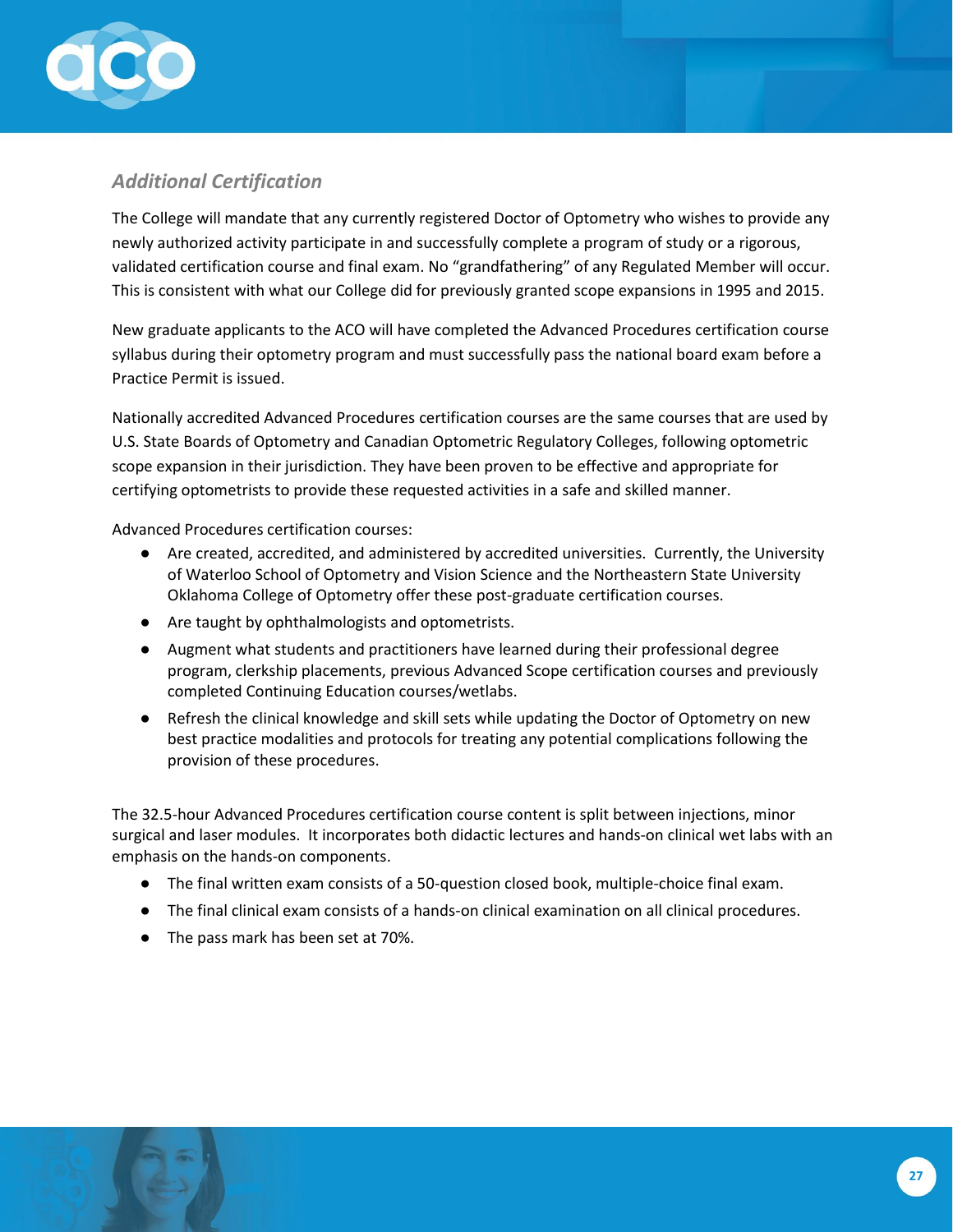

### *Additional Certification*

The College will mandate that any currently registered Doctor of Optometry who wishes to provide any newly authorized activity participate in and successfully complete a program of study or a rigorous, validated certification course and final exam. No "grandfathering" of any Regulated Member will occur. This is consistent with what our College did for previously granted scope expansions in 1995 and 2015.

New graduate applicants to the ACO will have completed the Advanced Procedures certification course syllabus during their optometry program and must successfully pass the national board exam before a Practice Permit is issued.

Nationally accredited Advanced Procedures certification courses are the same courses that are used by U.S. State Boards of Optometry and Canadian Optometric Regulatory Colleges, following optometric scope expansion in their jurisdiction. They have been proven to be effective and appropriate for certifying optometrists to provide these requested activities in a safe and skilled manner.

Advanced Procedures certification courses:

- Are created, accredited, and administered by accredited universities. Currently, the University of Waterloo School of Optometry and Vision Science and the Northeastern State University Oklahoma College of Optometry offer these post-graduate certification courses.
- Are taught by ophthalmologists and optometrists.
- Augment what students and practitioners have learned during their professional degree program, clerkship placements, previous Advanced Scope certification courses and previously completed Continuing Education courses/wetlabs.
- Refresh the clinical knowledge and skill sets while updating the Doctor of Optometry on new best practice modalities and protocols for treating any potential complications following the provision of these procedures.

The 32.5-hour Advanced Procedures certification course content is split between injections, minor surgical and laser modules. It incorporates both didactic lectures and hands-on clinical wet labs with an emphasis on the hands-on components.

- The final written exam consists of a 50-question closed book, multiple-choice final exam.
- The final clinical exam consists of a hands-on clinical examination on all clinical procedures.
- The pass mark has been set at 70%.